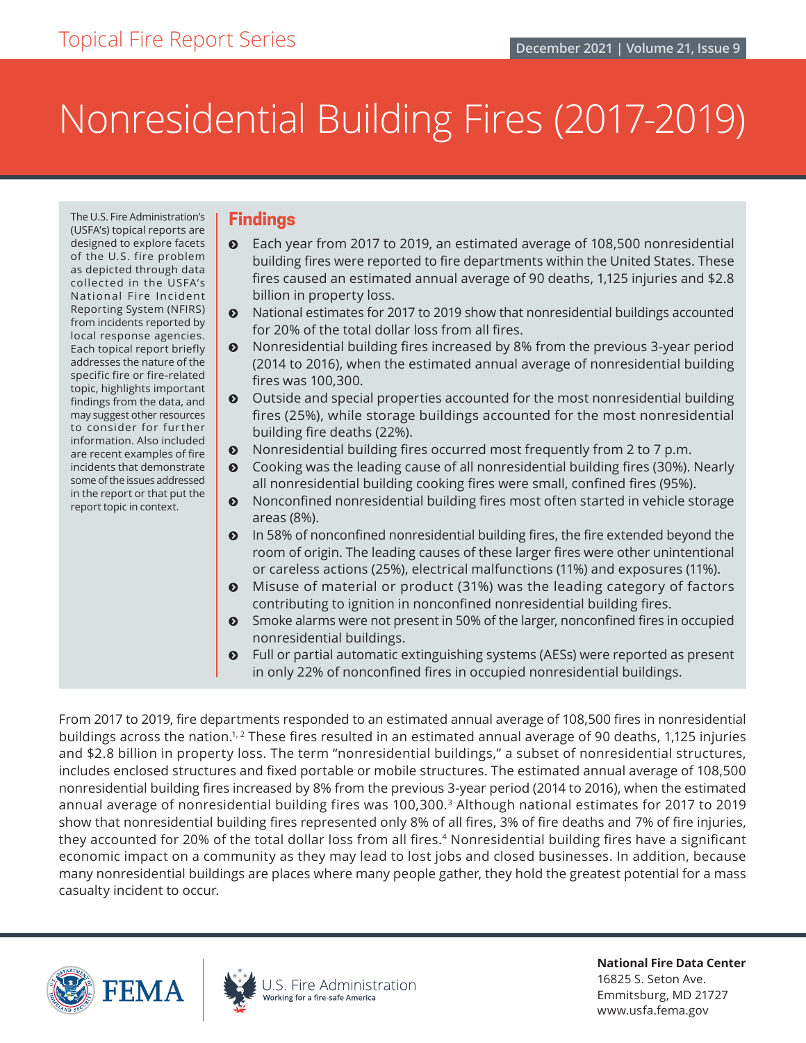# Nonresidential Building Fires (2017-2019)

The U.S. Fire Administration's (USFA's) topical reports are designed to explore facets of the U.S. fire problem as depicted through data collected in the USFA's National Fire Incident Reporting System (NFIRS) from incidents reported by local response agencies. Each topical report briefly addresses the nature of the specific fire or fire-related topic, highlights important findings from the data, and may suggest other resources to consider for further information. Also included are recent examples of fire incidents that demonstrate some of the issues addressed in the report or that put the report topic in context.

## **Findings**

- $\odot$  Each year from 2017 to 2019, an estimated average of 108,500 nonresidential building fires were reported to fire departments within the United States. These fires caused an estimated annual average of 90 deaths, 1,125 injuries and \$2.8 billion in property loss.
- ĵ National estimates for 2017 to 2019 show that nonresidential buildings accounted for 20% of the total dollar loss from all fires.
- $\odot$  Nonresidential building fires increased by 8% from the previous 3-year period (2014 to 2016), when the estimated annual average of nonresidential building fires was 100,300.
- $\odot$  Outside and special properties accounted for the most nonresidential building fires (25%), while storage buildings accounted for the most nonresidential building fire deaths (22%).
- $\odot$  Nonresidential building fires occurred most frequently from 2 to 7 p.m.
- ĵ Cooking was the leading cause of all nonresidential building fires (30%). Nearly all nonresidential building cooking fires were small, confined fires (95%).
- $\odot$  Nonconfined nonresidential building fires most often started in vehicle storage areas (8%).
- **•** In 58% of nonconfined nonresidential building fires, the fire extended beyond the room of origin. The leading causes of these larger fires were other unintentional or careless actions (25%), electrical malfunctions (11%) and exposures (11%).
- Misuse of material or product (31%) was the leading category of factors contributing to ignition in nonconfined nonresidential building fires.
- **•** Smoke alarms were not present in 50% of the larger, nonconfined fires in occupied nonresidential buildings.
- **•** Full or partial automatic extinguishing systems (AESs) were reported as present in only 22% of nonconfined fires in occupied nonresidential buildings.

From 2017 to 2019, fire departments responded to an estimated annual average of 108,500 fires in nonresidential buildings across the nation.<sup>1, 2</sup> These fires resulted in an estimated annual average of 90 deaths, 1,125 injuries and \$2.8 billion in property loss. The term "nonresidential buildings," a subset of nonresidential structures, includes enclosed structures and fixed portable or mobile structures. The estimated annual average of 108,500 nonresidential building fires increased by 8% from the previous 3-year period (2014 to 2016), when the estimated annual average of nonresidential building fires was 100,300.[3](#page-18-0) Although national estimates for 2017 to 2019 show that nonresidential building fires represented only 8% of all fires, 3% of fire deaths and 7% of fire injuries, they accounted for 20% of the total dollar loss from all fires.<sup>[4](#page-19-0)</sup> Nonresidential building fires have a significant economic impact on a community as they may lead to lost jobs and closed businesses. In addition, because many nonresidential buildings are places where many people gather, they hold the greatest potential for a mass casualty incident to occur.





**National Fire Data Center** 16825 S. Seton Ave. Emmitsburg, MD 21727 [www.usfa.fema.gov](http://www.usfa.fema.gov)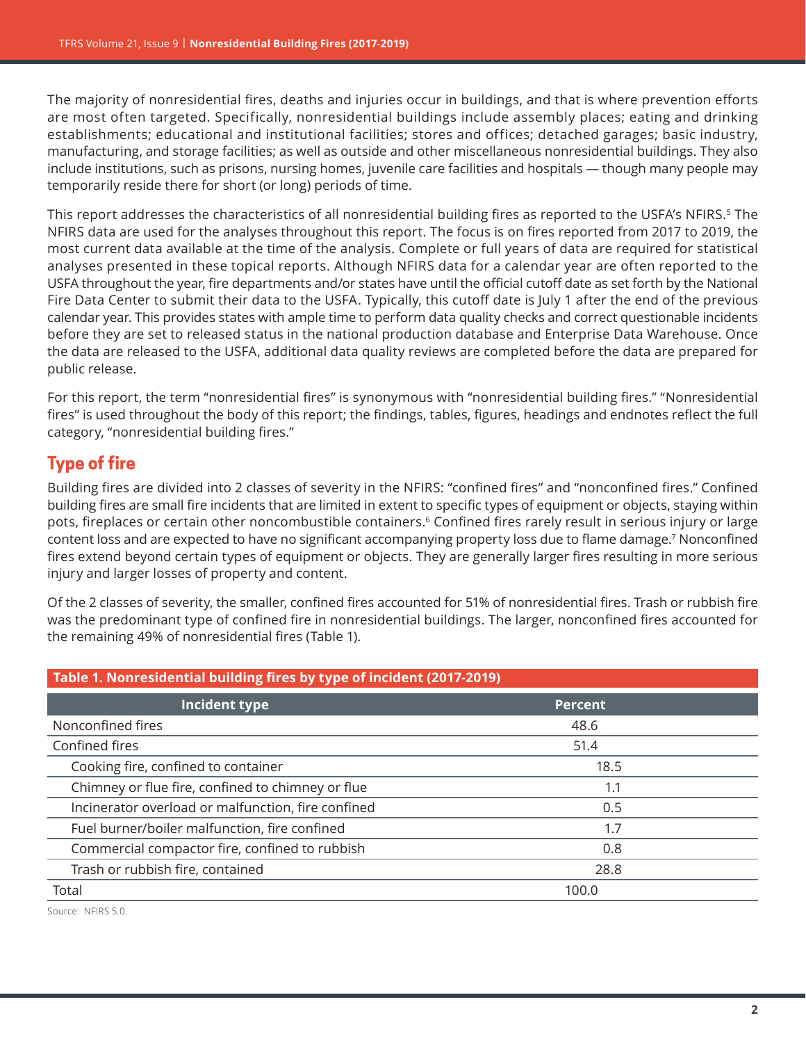<span id="page-1-0"></span>The majority of nonresidential fires, deaths and injuries occur in buildings, and that is where prevention efforts are most often targeted. Specifically, nonresidential buildings include assembly places; eating and drinking establishments; educational and institutional facilities; stores and offices; detached garages; basic industry, manufacturing, and storage facilities; as well as outside and other miscellaneous nonresidential buildings. They also include institutions, such as prisons, nursing homes, juvenile care facilities and hospitals — though many people may temporarily reside there for short (or long) periods of time.

This report addresses the characteristics of all nonresidential building fires as reported to the USFA's NFIRS.<sup>5</sup> The NFIRS data are used for the analyses throughout this report. The focus is on fires reported from 2017 to 2019, the most current data available at the time of the analysis. Complete or full years of data are required for statistical analyses presented in these topical reports. Although NFIRS data for a calendar year are often reported to the USFA throughout the year, fire departments and/or states have until the official cutoff date as set forth by the National Fire Data Center to submit their data to the USFA. Typically, this cutoff date is July 1 after the end of the previous calendar year. This provides states with ample time to perform data quality checks and correct questionable incidents before they are set to released status in the national production database and Enterprise Data Warehouse. Once the data are released to the USFA, additional data quality reviews are completed before the data are prepared for public release.

For this report, the term "nonresidential fires" is synonymous with "nonresidential building fires." "Nonresidential fires" is used throughout the body of this report; the findings, tables, figures, headings and endnotes reflect the full category, "nonresidential building fires."

# **Type of fire**

Building fires are divided into 2 classes of severity in the NFIRS: "confined fires" and "nonconfined fires." Confined building fires are small fire incidents that are limited in extent to specific types of equipment or objects, staying within pots, fireplaces or certain other noncombustible containers.<sup>[6](#page-19-0)</sup> Confined fires rarely result in serious injury or large content loss and are expected to have no significant accompanying property loss due to flame damage.[7](#page-19-0) Nonconfined fires extend beyond certain types of equipment or objects. They are generally larger fires resulting in more serious injury and larger losses of property and content.

Of the 2 classes of severity, the smaller, confined fires accounted for 51% of nonresidential fires. Trash or rubbish fire was the predominant type of confined fire in nonresidential buildings. The larger, nonconfined fires accounted for the remaining 49% of nonresidential fires (Table 1).

| Table 1. Nonresidential building fires by type of incident (2017-2019) |                |  |
|------------------------------------------------------------------------|----------------|--|
| Incident type                                                          | <b>Percent</b> |  |
| Nonconfined fires                                                      | 48.6           |  |
| Confined fires                                                         | 51.4           |  |
| Cooking fire, confined to container                                    | 18.5           |  |
| Chimney or flue fire, confined to chimney or flue                      | 1.1            |  |
| Incinerator overload or malfunction, fire confined                     | 0.5            |  |
| Fuel burner/boiler malfunction, fire confined                          | 1.7            |  |
| Commercial compactor fire, confined to rubbish                         | 0.8            |  |
| Trash or rubbish fire, contained                                       | 28.8           |  |
| Total                                                                  | 100.0          |  |

Source: NFIRS 5.0.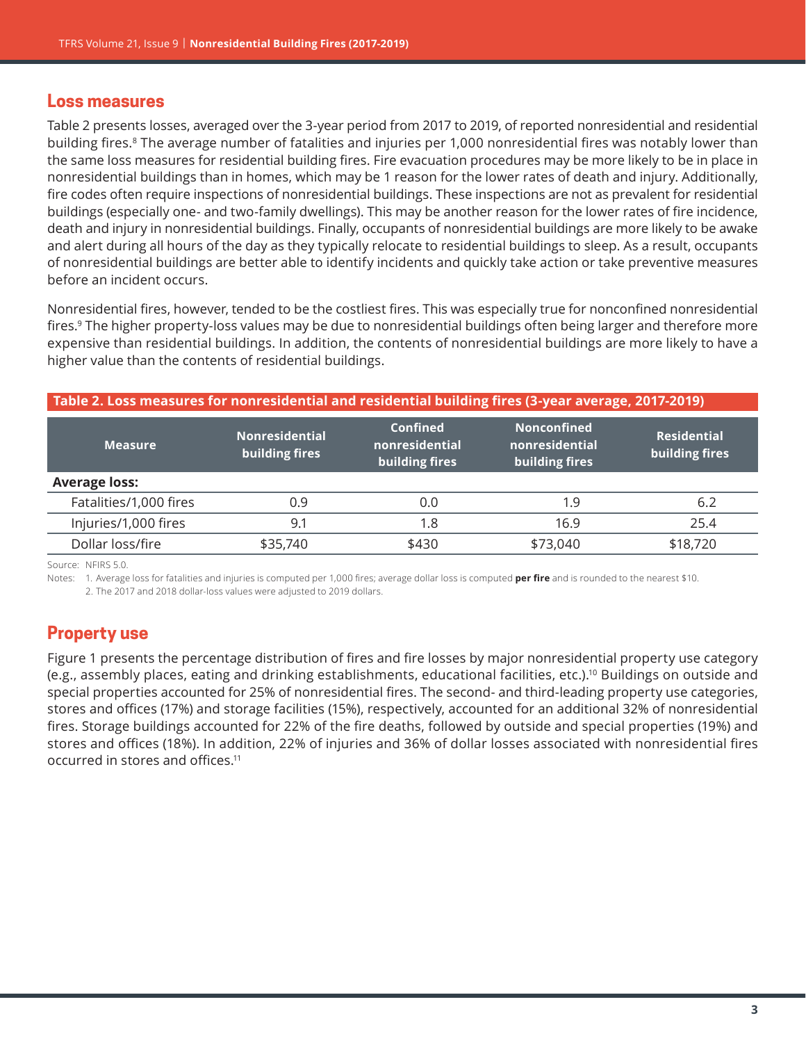#### **Loss measures**

Table 2 presents losses, averaged over the 3-year period from 2017 to 2019, of reported nonresidential and residential building fires.[8](#page-19-0) The average number of fatalities and injuries per 1,000 nonresidential fires was notably lower than the same loss measures for residential building fires. Fire evacuation procedures may be more likely to be in place in nonresidential buildings than in homes, which may be 1 reason for the lower rates of death and injury. Additionally, fire codes often require inspections of nonresidential buildings. These inspections are not as prevalent for residential buildings (especially one- and two-family dwellings). This may be another reason for the lower rates of fire incidence, death and injury in nonresidential buildings. Finally, occupants of nonresidential buildings are more likely to be awake and alert during all hours of the day as they typically relocate to residential buildings to sleep. As a result, occupants of nonresidential buildings are better able to identify incidents and quickly take action or take preventive measures before an incident occurs.

Nonresidential fires, however, tended to be the costliest fires. This was especially true for nonconfined nonresidential fires.[9](#page-19-0) The higher property-loss values may be due to nonresidential buildings often being larger and therefore more expensive than residential buildings. In addition, the contents of nonresidential buildings are more likely to have a higher value than the contents of residential buildings.

| Table 2. Loss measures for nonresidential and residential building fires (3-year average, 2017-2019) |                                         |                                              |                                                        |                                      |
|------------------------------------------------------------------------------------------------------|-----------------------------------------|----------------------------------------------|--------------------------------------------------------|--------------------------------------|
| <b>Measure</b>                                                                                       | <b>Nonresidential</b><br>building fires | Confined<br>nonresidential<br>building fires | <b>Nonconfined</b><br>nonresidential<br>building fires | <b>Residential</b><br>building fires |
| <b>Average loss:</b>                                                                                 |                                         |                                              |                                                        |                                      |
| Fatalities/1,000 fires                                                                               | 0.9                                     | 0.0                                          | 1.9                                                    | 6.2                                  |
| Injuries/1,000 fires                                                                                 | 9.1                                     | 1.8                                          | 16.9                                                   | 25.4                                 |
| Dollar loss/fire                                                                                     | \$35,740                                | \$430                                        | \$73,040                                               | \$18,720                             |

Source: NFIRS 5.0.

Notes: 1. Average loss for fatalities and injuries is computed per 1,000 fires; average dollar loss is computed per fire and is rounded to the nearest \$10.

2. The 2017 and 2018 dollar-loss values were adjusted to 2019 dollars.

# **Property use**

Figure 1 presents the percentage distribution of fires and fire losses by major nonresidential property use category (e.g., assembly places, eating and drinking establishments, educational facilities, etc.)[.10](#page-19-0) Buildings on outside and special properties accounted for 25% of nonresidential fires. The second- and third-leading property use categories, stores and offices (17%) and storage facilities (15%), respectively, accounted for an additional 32% of nonresidential fires. Storage buildings accounted for 22% of the fire deaths, followed by outside and special properties (19%) and stores and offices (18%). In addition, 22% of injuries and 36% of dollar losses associated with nonresidential fires occurred in stores and offices.[11](#page-19-0)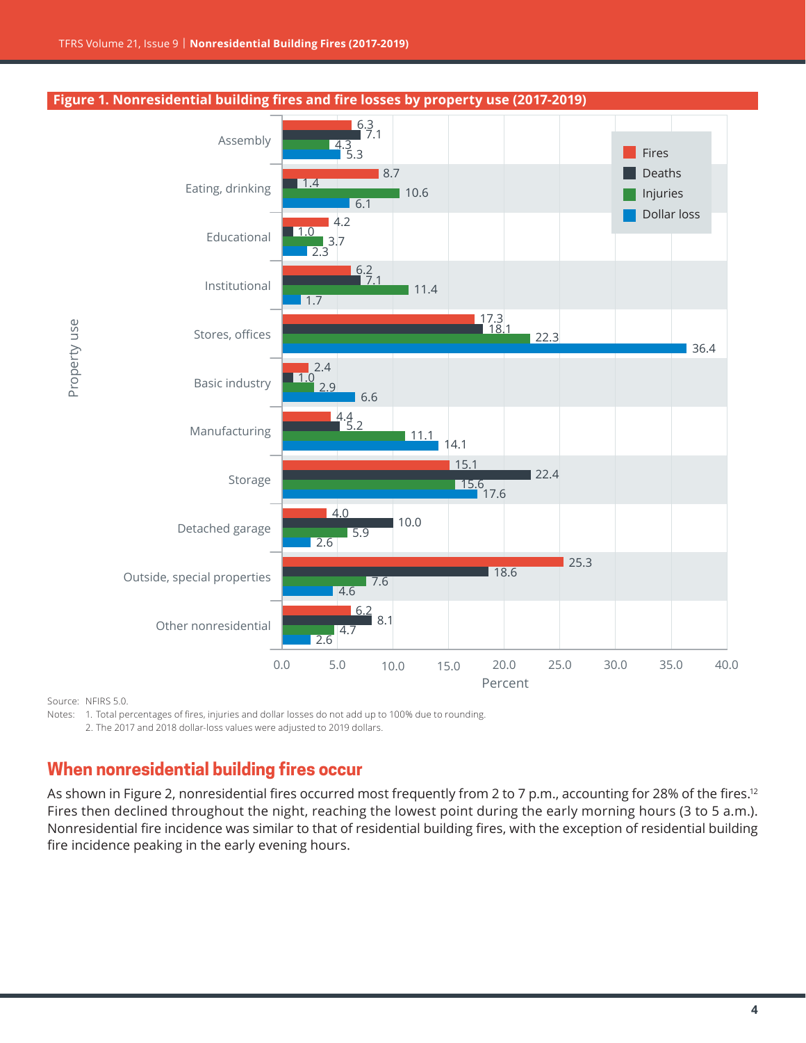

Source: NFIRS 5.0.

Notes: 1. Total percentages of fires, injuries and dollar losses do not add up to 100% due to rounding.

2. The 2017 and 2018 dollar-loss values were adjusted to 2019 dollars.

# **When nonresidential building fires occur**

As shown in Figure 2, nonresidential fires occurred most frequently from 2 to 7 p.m., accounting for 28% of the fires.<sup>[12](#page-19-0)</sup> Fires then declined throughout the night, reaching the lowest point during the early morning hours (3 to 5 a.m.). Nonresidential fire incidence was similar to that of residential building fires, with the exception of residential building fire incidence peaking in the early evening hours.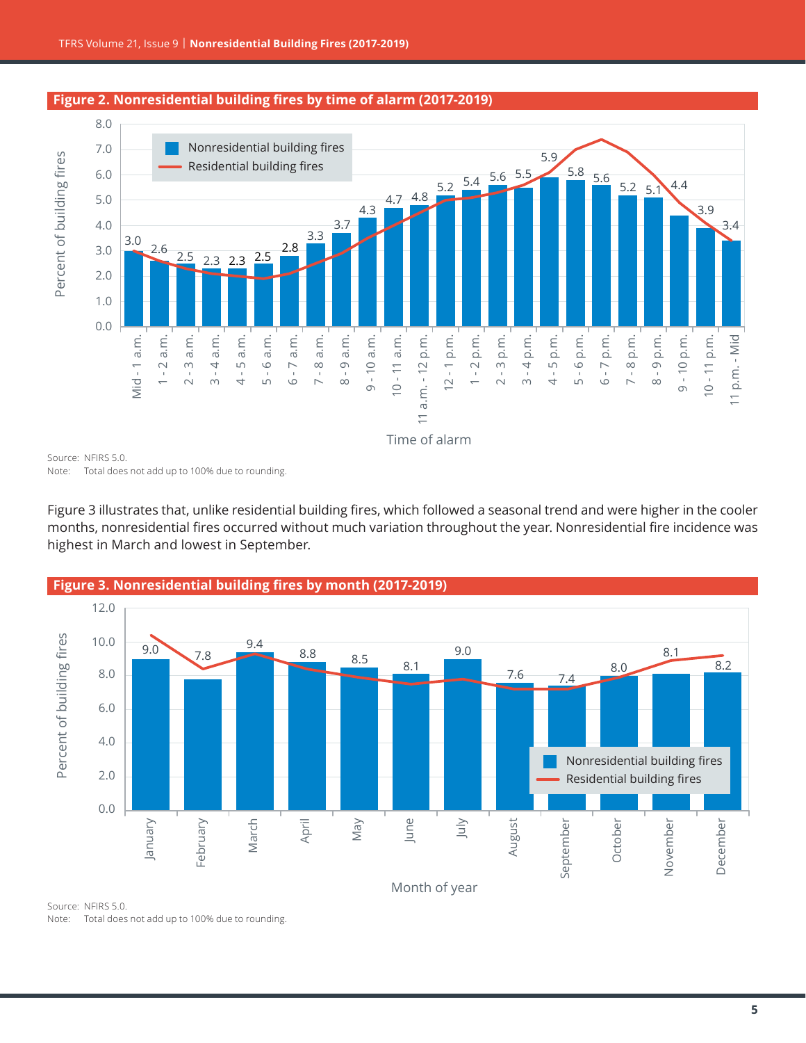

#### **Figure 2. Nonresidential building fires by time of alarm (2017-2019)**

Source: NFIRS 5.0. Note: Total does not add up to 100% due to rounding.

Figure 3 illustrates that, unlike residential building fires, which followed a seasonal trend and were higher in the cooler months, nonresidential fires occurred without much variation throughout the year. Nonresidential fire incidence was highest in March and lowest in September.



Source: NFIRS 5.0. Note: Total does not add up to 100% due to rounding.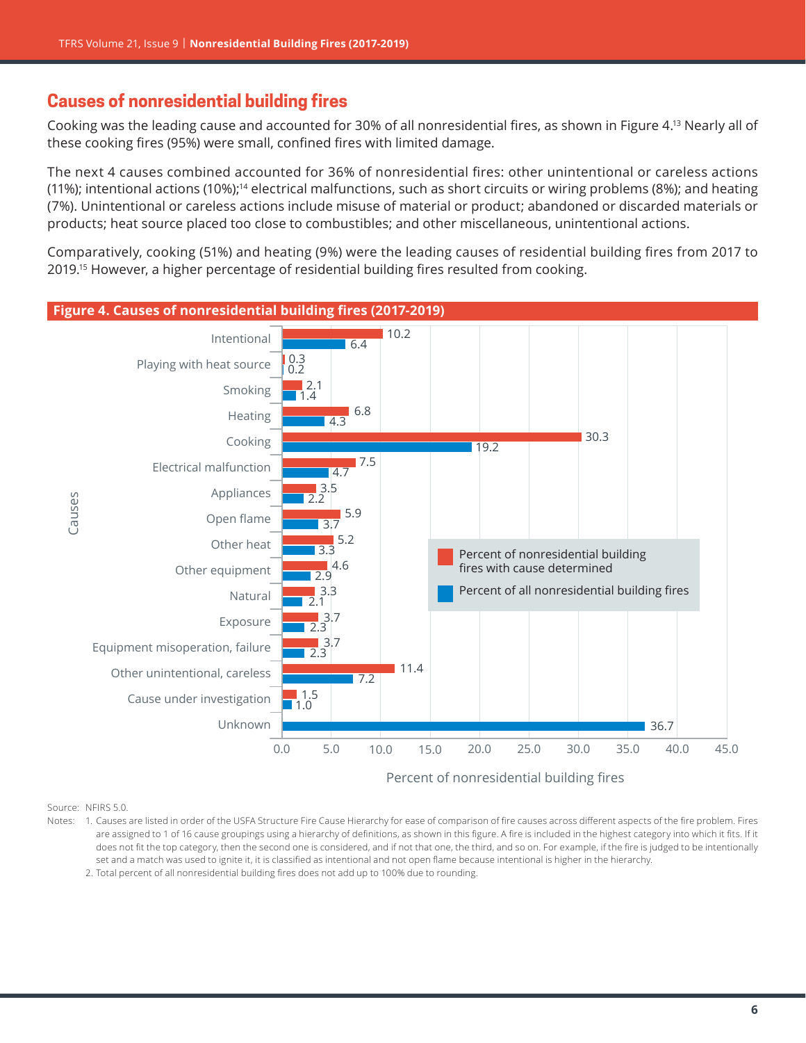## <span id="page-5-0"></span>**Causes of nonresidential building fires**

Cooking was the leading cause and accounted for 30% of all nonresidential fires, as shown in Figure 4[.13](#page-19-0) Nearly all of these cooking fires (95%) were small, confined fires with limited damage.

The next 4 causes combined accounted for 36% of nonresidential fires: other unintentional or careless actions (11%); intentional actions (10%);<sup>14</sup> electrical malfunctions, such as short circuits or wiring problems (8%); and heating (7%). Unintentional or careless actions include misuse of material or product; abandoned or discarded materials or products; heat source placed too close to combustibles; and other miscellaneous, unintentional actions.

Comparatively, cooking (51%) and heating (9%) were the leading causes of residential building fires from 2017 to 2019[.15](#page-19-0) However, a higher percentage of residential building fires resulted from cooking.



Source: NFIRS 5.0.

Notes: 1. Causes are listed in order of the USFA Structure Fire Cause Hierarchy for ease of comparison of fire causes across different aspects of the fire problem. Fires are assigned to 1 of 16 cause groupings using a hierarchy of definitions, as shown in this figure. A fire is included in the highest category into which it fits. If it does not fit the top category, then the second one is considered, and if not that one, the third, and so on. For example, if the fire is judged to be intentionally set and a match was used to ignite it, it is classified as intentional and not open flame because intentional is higher in the hierarchy.

2. Total percent of all nonresidential building fires does not add up to 100% due to rounding.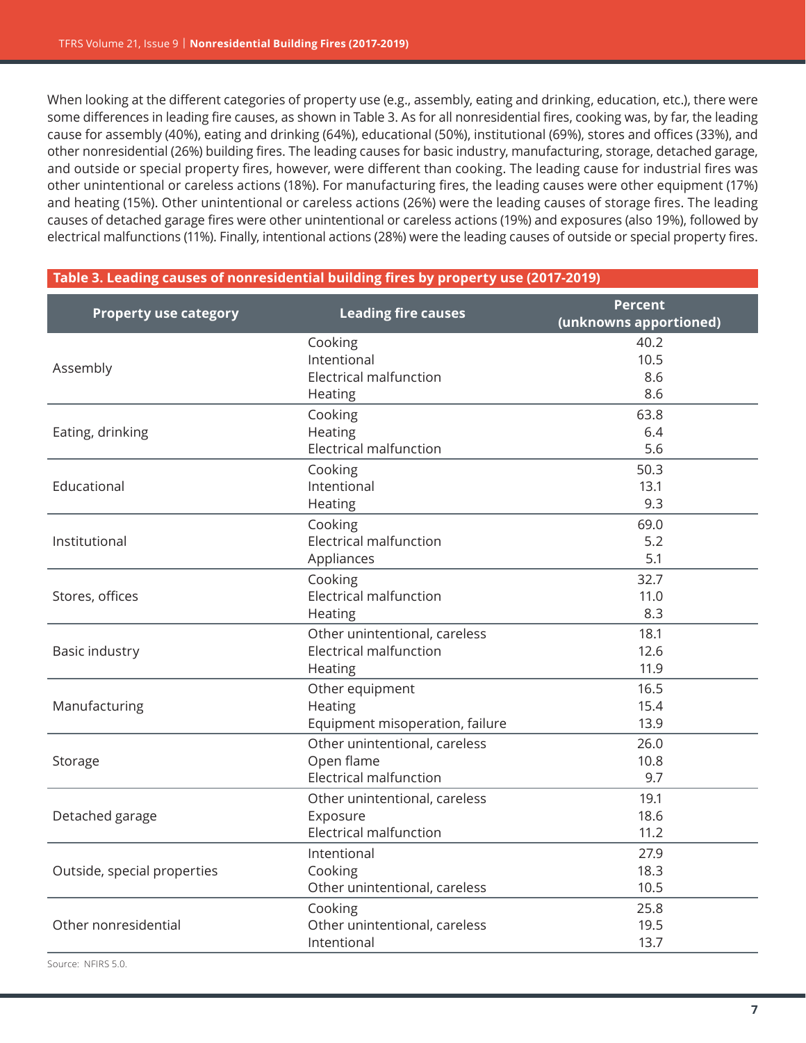When looking at the different categories of property use (e.g., assembly, eating and drinking, education, etc.), there were some differences in leading fire causes, as shown in Table 3. As for all nonresidential fires, cooking was, by far, the leading cause for assembly (40%), eating and drinking (64%), educational (50%), institutional (69%), stores and offices (33%), and other nonresidential (26%) building fires. The leading causes for basic industry, manufacturing, storage, detached garage, and outside or special property fires, however, were different than cooking. The leading cause for industrial fires was other unintentional or careless actions (18%). For manufacturing fires, the leading causes were other equipment (17%) and heating (15%). Other unintentional or careless actions (26%) were the leading causes of storage fires. The leading causes of detached garage fires were other unintentional or careless actions (19%) and exposures (also 19%), followed by electrical malfunctions (11%). Finally, intentional actions (28%) were the leading causes of outside or special property fires.

| , , , , , , , , , , , , , , ,<br>caases of nom csiaencial sahanig in cs sy property asc (2017-2015 |                                   |                                          |  |
|----------------------------------------------------------------------------------------------------|-----------------------------------|------------------------------------------|--|
| <b>Property use category</b>                                                                       | <b>Leading fire causes</b>        | <b>Percent</b><br>(unknowns apportioned) |  |
|                                                                                                    | Cooking<br>Intentional            | 40.2<br>10.5                             |  |
| Assembly                                                                                           | Electrical malfunction<br>Heating | 8.6<br>8.6                               |  |
|                                                                                                    | Cooking                           | 63.8                                     |  |
| Eating, drinking                                                                                   | Heating                           | 6.4                                      |  |
|                                                                                                    | Electrical malfunction            | 5.6                                      |  |
|                                                                                                    | Cooking                           | 50.3                                     |  |
| Educational                                                                                        | Intentional                       | 13.1                                     |  |
|                                                                                                    | Heating                           | 9.3                                      |  |
|                                                                                                    | Cooking                           | 69.0                                     |  |
| Institutional                                                                                      | <b>Electrical malfunction</b>     | 5.2                                      |  |
|                                                                                                    | Appliances                        | 5.1                                      |  |
|                                                                                                    | Cooking                           | 32.7                                     |  |
| Stores, offices                                                                                    | <b>Electrical malfunction</b>     | 11.0                                     |  |
|                                                                                                    | Heating                           | 8.3                                      |  |
|                                                                                                    | Other unintentional, careless     | 18.1                                     |  |
| Basic industry                                                                                     | <b>Electrical malfunction</b>     | 12.6                                     |  |
|                                                                                                    | Heating                           | 11.9                                     |  |
|                                                                                                    | Other equipment                   | 16.5                                     |  |
| Manufacturing                                                                                      | Heating                           | 15.4                                     |  |
|                                                                                                    | Equipment misoperation, failure   | 13.9                                     |  |
|                                                                                                    | Other unintentional, careless     | 26.0                                     |  |
| Storage                                                                                            | Open flame                        | 10.8                                     |  |
|                                                                                                    | <b>Electrical malfunction</b>     | 9.7                                      |  |
|                                                                                                    | Other unintentional, careless     | 19.1                                     |  |
| Detached garage                                                                                    | Exposure                          | 18.6                                     |  |
|                                                                                                    | <b>Electrical malfunction</b>     | 11.2                                     |  |
|                                                                                                    | Intentional                       | 27.9                                     |  |
| Outside, special properties                                                                        | Cooking                           | 18.3                                     |  |
|                                                                                                    | Other unintentional, careless     | 10.5                                     |  |
|                                                                                                    | Cooking                           | 25.8                                     |  |
| Other nonresidential                                                                               | Other unintentional, careless     | 19.5                                     |  |
|                                                                                                    | Intentional                       | 13.7                                     |  |

#### **Table 3. Leading causes of nonresidential building fires by property use (2017-2019)**

Source: NFIRS 5.0.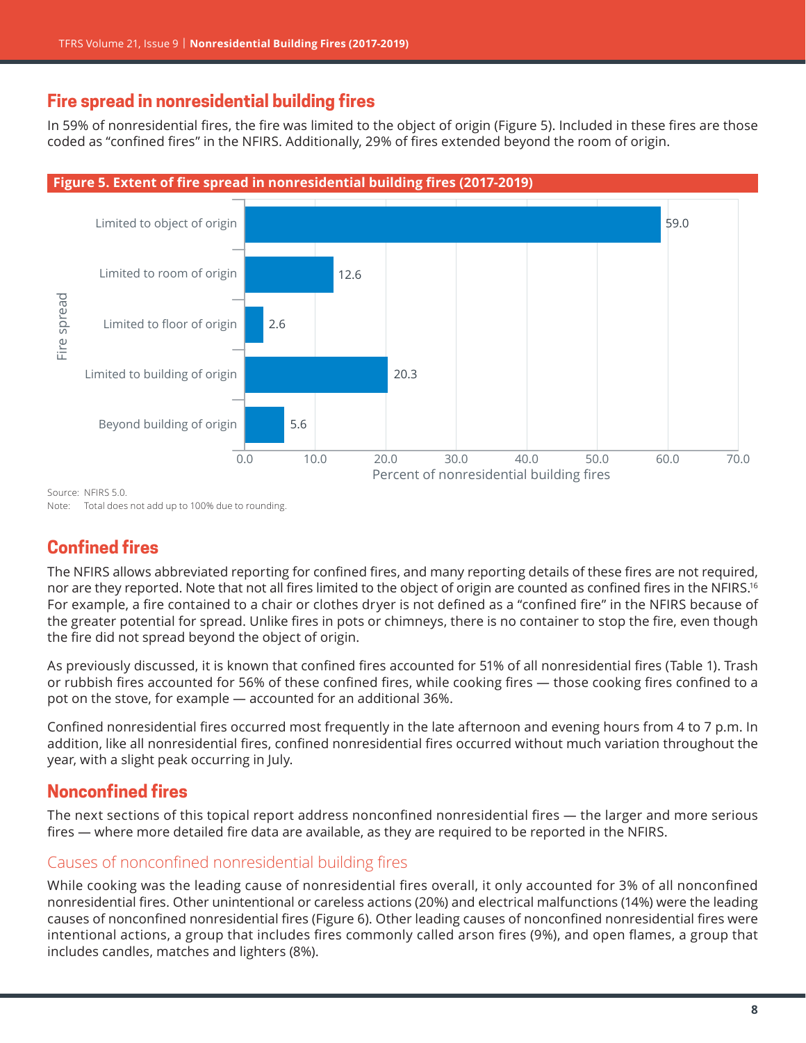# **Fire spread in nonresidential building fires**

In 59% of nonresidential fires, the fire was limited to the object of origin (Figure 5). Included in these fires are those coded as "confined fires" in the NFIRS. Additionally, 29% of fires extended beyond the room of origin.



Source: NEIRS 5.0.

Note: Total does not add up to 100% due to rounding.

# **Confined fires**

The NFIRS allows abbreviated reporting for confined fires, and many reporting details of these fires are not required, nor are they reported. Note that not all fires limited to the object of origin are counted as confined fires in the NFIRS.<sup>[16](#page-19-0)</sup> For example, a fire contained to a chair or clothes dryer is not defined as a "confined fire" in the NFIRS because of the greater potential for spread. Unlike fires in pots or chimneys, there is no container to stop the fire, even though the fire did not spread beyond the object of origin.

As previously discussed, it is known that confined fires accounted for 51% of all nonresidential fires (Table 1). Trash or rubbish fires accounted for 56% of these confined fires, while cooking fires — those cooking fires confined to a pot on the stove, for example — accounted for an additional 36%.

Confined nonresidential fires occurred most frequently in the late afternoon and evening hours from 4 to 7 p.m. In addition, like all nonresidential fires, confined nonresidential fires occurred without much variation throughout the year, with a slight peak occurring in July.

# **Nonconfined fires**

The next sections of this topical report address nonconfined nonresidential fires — the larger and more serious fires — where more detailed fire data are available, as they are required to be reported in the NFIRS.

#### Causes of nonconfined nonresidential building fires

While cooking was the leading cause of nonresidential fires overall, it only accounted for 3% of all nonconfined nonresidential fires. Other unintentional or careless actions (20%) and electrical malfunctions (14%) were the leading causes of nonconfined nonresidential fires (Figure 6). Other leading causes of nonconfined nonresidential fires were intentional actions, a group that includes fires commonly called arson fires (9%), and open flames, a group that includes candles, matches and lighters (8%).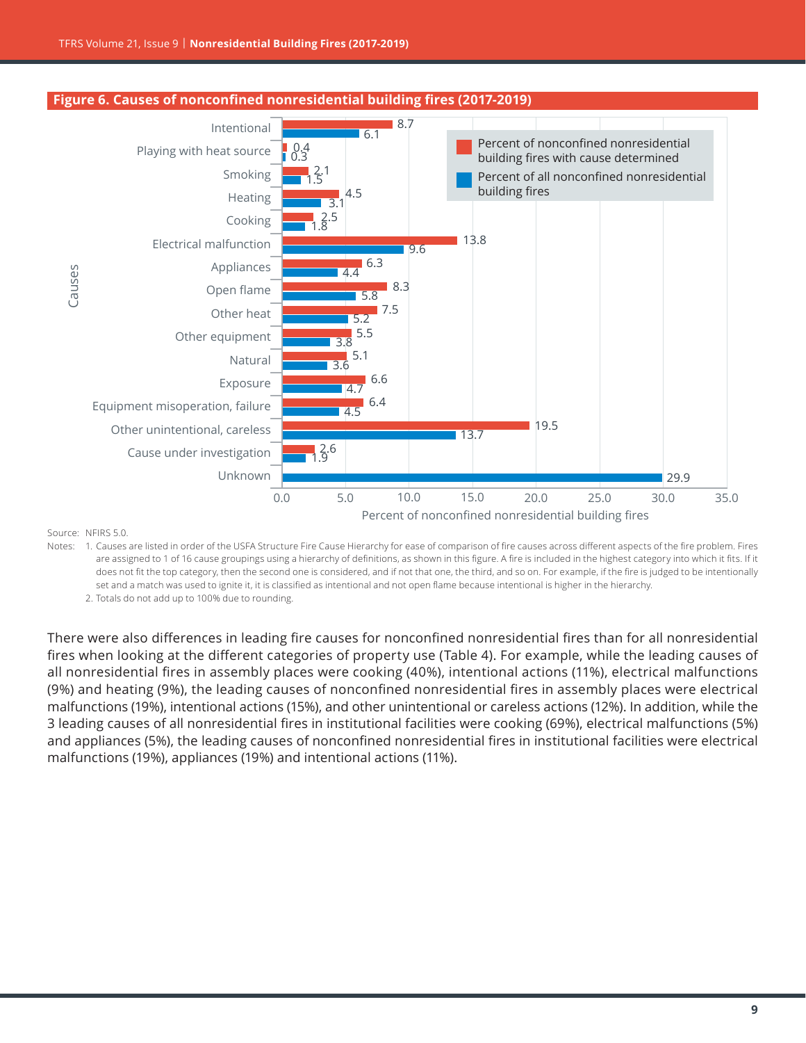

#### **Figure 6. Causes of nonconfined nonresidential building fires (2017-2019)**

Source: NFIRS 5.0.

Notes: 1. Causes are listed in order of the USFA Structure Fire Cause Hierarchy for ease of comparison of fire causes across different aspects of the fire problem. Fires are assigned to 1 of 16 cause groupings using a hierarchy of definitions, as shown in this figure. A fire is included in the highest category into which it fits. If it does not fit the top category, then the second one is considered, and if not that one, the third, and so on. For example, if the fire is judged to be intentionally set and a match was used to ignite it, it is classified as intentional and not open flame because intentional is higher in the hierarchy.

2. Totals do not add up to 100% due to rounding.

There were also differences in leading fire causes for nonconfined nonresidential fires than for all nonresidential fires when looking at the different categories of property use (Table 4). For example, while the leading causes of all nonresidential fires in assembly places were cooking (40%), intentional actions (11%), electrical malfunctions (9%) and heating (9%), the leading causes of nonconfined nonresidential fires in assembly places were electrical malfunctions (19%), intentional actions (15%), and other unintentional or careless actions (12%). In addition, while the 3 leading causes of all nonresidential fires in institutional facilities were cooking (69%), electrical malfunctions (5%) and appliances (5%), the leading causes of nonconfined nonresidential fires in institutional facilities were electrical malfunctions (19%), appliances (19%) and intentional actions (11%).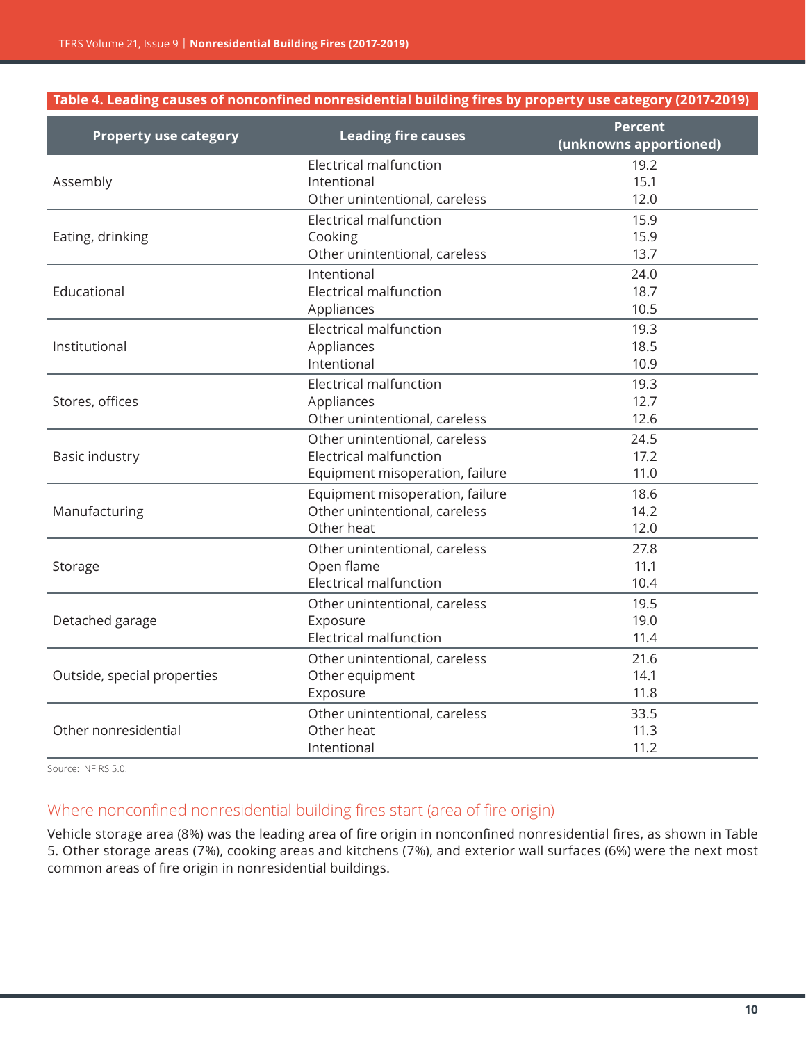#### **Table 4. Leading causes of nonconfined nonresidential building fires by property use category (2017-2019)**

| <b>Property use category</b> | <b>Leading fire causes</b>      | <b>Percent</b><br>(unknowns apportioned) |
|------------------------------|---------------------------------|------------------------------------------|
|                              | Electrical malfunction          | 19.2                                     |
| Assembly                     | Intentional                     | 15.1                                     |
|                              | Other unintentional, careless   | 12.0                                     |
|                              | Electrical malfunction          | 15.9                                     |
| Eating, drinking             | Cooking                         | 15.9                                     |
|                              | Other unintentional, careless   | 13.7                                     |
|                              | Intentional                     | 24.0                                     |
| Educational                  | <b>Electrical malfunction</b>   | 18.7                                     |
|                              | Appliances                      | 10.5                                     |
|                              | <b>Electrical malfunction</b>   | 19.3                                     |
| Institutional                | Appliances                      | 18.5                                     |
|                              | Intentional                     | 10.9                                     |
|                              | Electrical malfunction          | 19.3                                     |
| Stores, offices              | Appliances                      | 12.7                                     |
|                              | Other unintentional, careless   | 12.6                                     |
|                              | Other unintentional, careless   | 24.5                                     |
| Basic industry               | <b>Electrical malfunction</b>   | 17.2                                     |
|                              | Equipment misoperation, failure | 11.0                                     |
|                              | Equipment misoperation, failure | 18.6                                     |
| Manufacturing                | Other unintentional, careless   | 14.2                                     |
|                              | Other heat                      | 12.0                                     |
|                              | Other unintentional, careless   | 27.8                                     |
| Storage                      | Open flame                      | 11.1                                     |
|                              | <b>Electrical malfunction</b>   | 10.4                                     |
|                              | Other unintentional, careless   | 19.5                                     |
| Detached garage              | Exposure                        | 19.0                                     |
|                              | <b>Electrical malfunction</b>   | 11.4                                     |
|                              | Other unintentional, careless   | 21.6                                     |
| Outside, special properties  | Other equipment                 | 14.1                                     |
|                              | Exposure                        | 11.8                                     |
|                              | Other unintentional, careless   | 33.5                                     |
| Other nonresidential         | Other heat                      | 11.3                                     |
|                              | Intentional                     | 11.2                                     |

Source: NFIRS 5.0.

#### Where nonconfined nonresidential building fires start (area of fire origin)

Vehicle storage area (8%) was the leading area of fire origin in nonconfined nonresidential fires, as shown in Table 5. Other storage areas (7%), cooking areas and kitchens (7%), and exterior wall surfaces (6%) were the next most common areas of fire origin in nonresidential buildings.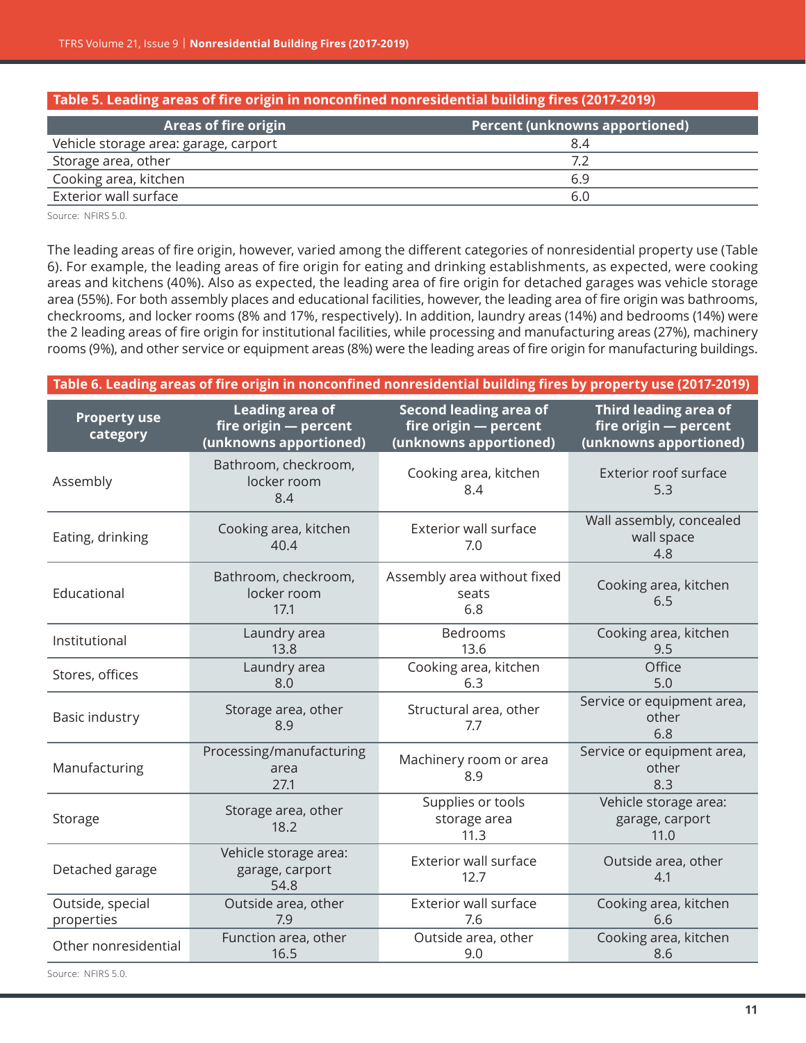| Table 5. Leading areas of fire origin in nonconfined nonresidential building fires (2017-2019) |                                       |  |
|------------------------------------------------------------------------------------------------|---------------------------------------|--|
| <b>Areas of fire origin</b>                                                                    | <b>Percent (unknowns apportioned)</b> |  |
| Vehicle storage area: garage, carport                                                          | 8.4                                   |  |
| Storage area, other                                                                            | 7.2                                   |  |
| Cooking area, kitchen                                                                          | 6.9                                   |  |
| Exterior wall surface                                                                          | 6.0                                   |  |

Source: NFIRS 5.0.

The leading areas of fire origin, however, varied among the different categories of nonresidential property use (Table 6). For example, the leading areas of fire origin for eating and drinking establishments, as expected, were cooking areas and kitchens (40%). Also as expected, the leading area of fire origin for detached garages was vehicle storage area (55%). For both assembly places and educational facilities, however, the leading area of fire origin was bathrooms, checkrooms, and locker rooms (8% and 17%, respectively). In addition, laundry areas (14%) and bedrooms (14%) were the 2 leading areas of fire origin for institutional facilities, while processing and manufacturing areas (27%), machinery rooms (9%), and other service or equipment areas (8%) were the leading areas of fire origin for manufacturing buildings.

| Table 6. Leading areas of fire origin in nonconfined nonresidential building fires by property use (2017-2019) |                                                                    |                                                                                  |                                                                          |
|----------------------------------------------------------------------------------------------------------------|--------------------------------------------------------------------|----------------------------------------------------------------------------------|--------------------------------------------------------------------------|
| <b>Property use</b><br>category                                                                                | Leading area of<br>fire origin - percent<br>(unknowns apportioned) | <b>Second leading area of</b><br>fire origin - percent<br>(unknowns apportioned) | Third leading area of<br>fire origin - percent<br>(unknowns apportioned) |
| Assembly                                                                                                       | Bathroom, checkroom,<br>locker room<br>8.4                         | Cooking area, kitchen<br>8.4                                                     | Exterior roof surface<br>5.3                                             |
| Eating, drinking                                                                                               | Cooking area, kitchen<br>40.4                                      | <b>Exterior wall surface</b><br>7.0                                              | Wall assembly, concealed<br>wall space<br>4.8                            |
| Educational                                                                                                    | Bathroom, checkroom,<br>locker room<br>17.1                        | Assembly area without fixed<br>seats<br>6.8                                      | Cooking area, kitchen<br>6.5                                             |
| Institutional                                                                                                  | Laundry area<br>13.8                                               | Bedrooms<br>13.6                                                                 | Cooking area, kitchen<br>9.5                                             |
| Stores, offices                                                                                                | Laundry area<br>8.0                                                | Cooking area, kitchen<br>6.3                                                     | Office<br>5.0                                                            |
| Basic industry                                                                                                 | Storage area, other<br>8.9                                         | Structural area, other<br>7.7                                                    | Service or equipment area,<br>other<br>6.8                               |
| Manufacturing                                                                                                  | Processing/manufacturing<br>area<br>27.1                           | Machinery room or area<br>8.9                                                    | Service or equipment area,<br>other<br>8.3                               |
| Storage                                                                                                        | Storage area, other<br>18.2                                        | Supplies or tools<br>storage area<br>11.3                                        | Vehicle storage area:<br>garage, carport<br>11.0                         |
| Detached garage                                                                                                | Vehicle storage area:<br>garage, carport<br>54.8                   | <b>Exterior wall surface</b><br>12.7                                             | Outside area, other<br>4.1                                               |
| Outside, special<br>properties                                                                                 | Outside area, other<br>7.9                                         | <b>Exterior wall surface</b><br>7.6                                              | Cooking area, kitchen<br>6.6                                             |
| Other nonresidential                                                                                           | Function area, other<br>16.5                                       | Outside area, other<br>9.0                                                       | Cooking area, kitchen<br>8.6                                             |
| Source: NEIRS 5.0.                                                                                             |                                                                    |                                                                                  |                                                                          |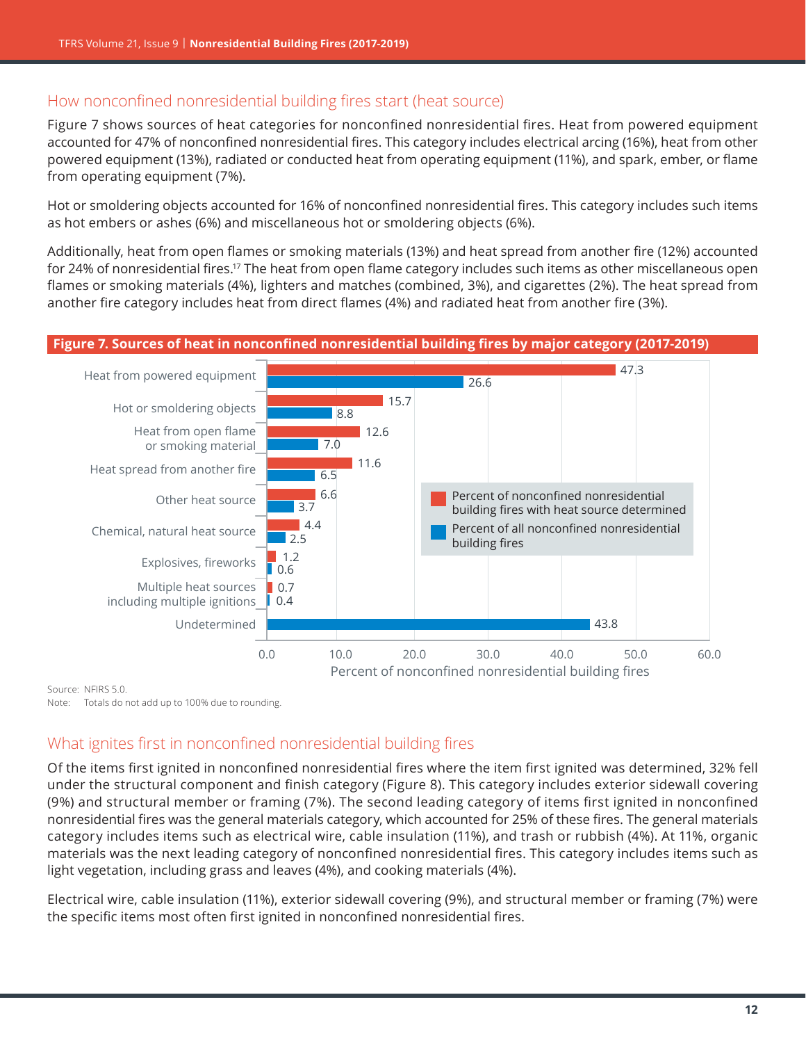#### How nonconfined nonresidential building fires start (heat source)

Figure 7 shows sources of heat categories for nonconfined nonresidential fires. Heat from powered equipment accounted for 47% of nonconfined nonresidential fires. This category includes electrical arcing (16%), heat from other powered equipment (13%), radiated or conducted heat from operating equipment (11%), and spark, ember, or flame from operating equipment (7%).

Hot or smoldering objects accounted for 16% of nonconfined nonresidential fires. This category includes such items as hot embers or ashes (6%) and miscellaneous hot or smoldering objects (6%).

Additionally, heat from open flames or smoking materials (13%) and heat spread from another fire (12%) accounted for 24% of nonresidential fires.<sup>[17](#page-19-0)</sup> The heat from open flame category includes such items as other miscellaneous open flames or smoking materials (4%), lighters and matches (combined, 3%), and cigarettes (2%). The heat spread from another fire category includes heat from direct flames (4%) and radiated heat from another fire (3%).

#### **Figure 7. Sources of heat in nonconfined nonresidential building fires by major category (2017-2019)**



Source: NFIRS 5.0. Note: Totals do not add up to 100% due to rounding.

## What ignites first in nonconfined nonresidential building fires

Of the items first ignited in nonconfined nonresidential fires where the item first ignited was determined, 32% fell under the structural component and finish category ([Figure 8](#page-12-0)). This category includes exterior sidewall covering (9%) and structural member or framing (7%). The second leading category of items first ignited in nonconfined nonresidential fires was the general materials category, which accounted for 25% of these fires. The general materials category includes items such as electrical wire, cable insulation (11%), and trash or rubbish (4%). At 11%, organic materials was the next leading category of nonconfined nonresidential fires. This category includes items such as light vegetation, including grass and leaves (4%), and cooking materials (4%).

Electrical wire, cable insulation (11%), exterior sidewall covering (9%), and structural member or framing (7%) were the specific items most often first ignited in nonconfined nonresidential fires.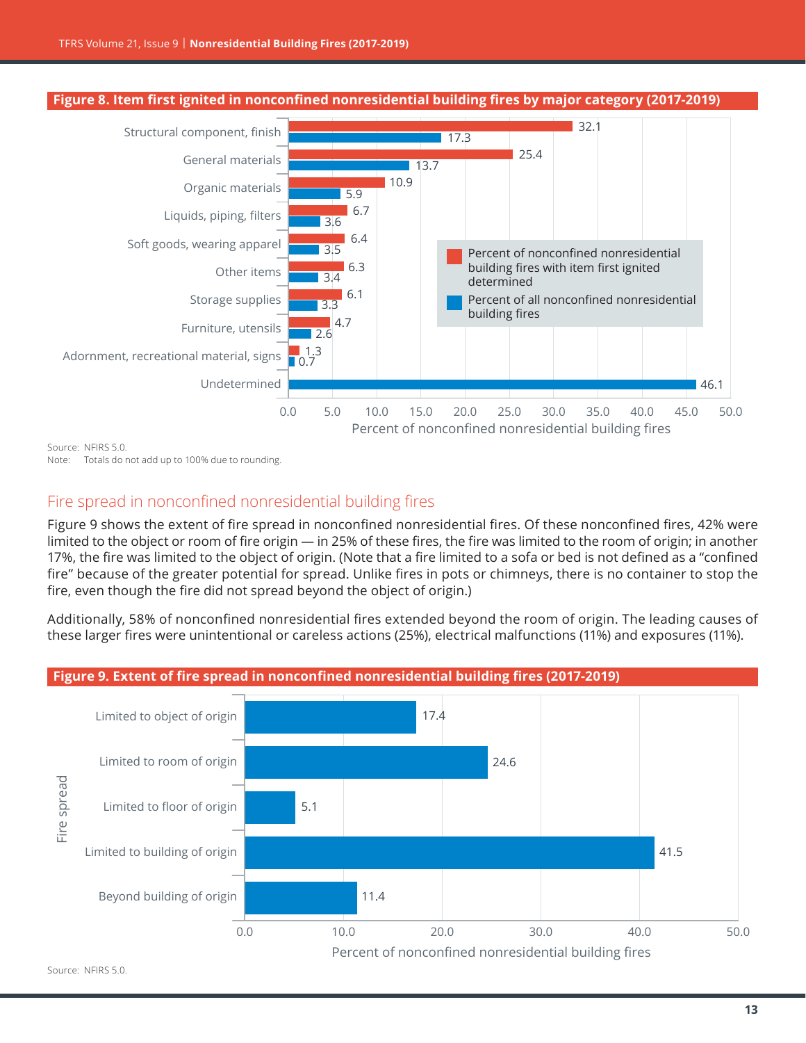<span id="page-12-0"></span>

Note: Totals do not add up to 100% due to rounding.

## Fire spread in nonconfined nonresidential building fires

[Figure](#page-12-1) 9 shows the extent of fire spread in nonconfined nonresidential fires. Of these nonconfined fires, 42% were limited to the object or room of fire origin — in 25% of these fires, the fire was limited to the room of origin; in another 17%, the fire was limited to the object of origin. (Note that a fire limited to a sofa or bed is not defined as a "confined fire" because of the greater potential for spread. Unlike fires in pots or chimneys, there is no container to stop the fire, even though the fire did not spread beyond the object of origin.)

Additionally, 58% of nonconfined nonresidential fires extended beyond the room of origin. The leading causes of these larger fires were unintentional or careless actions (25%), electrical malfunctions (11%) and exposures (11%).

<span id="page-12-1"></span>

#### Source: NFIRS 5.0.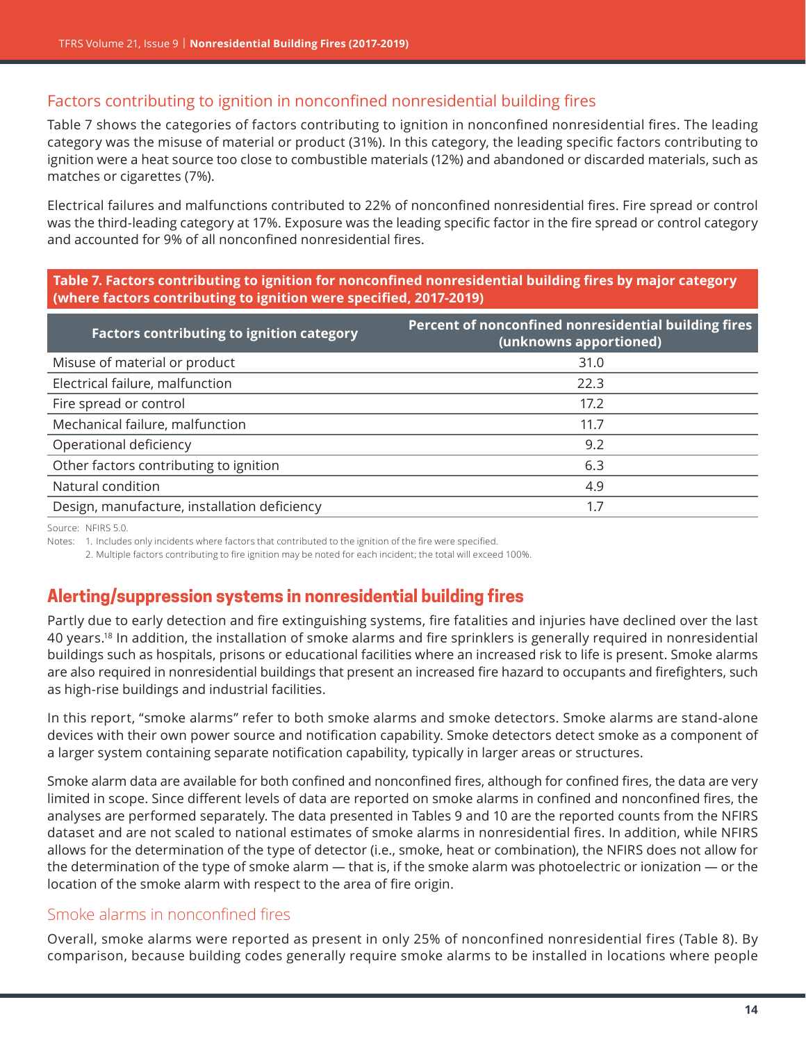## Factors contributing to ignition in nonconfined nonresidential building fires

[Table](#page-13-0) 7 shows the categories of factors contributing to ignition in nonconfined nonresidential fires. The leading category was the misuse of material or product (31%). In this category, the leading specific factors contributing to ignition were a heat source too close to combustible materials (12%) and abandoned or discarded materials, such as matches or cigarettes (7%).

Electrical failures and malfunctions contributed to 22% of nonconfined nonresidential fires. Fire spread or control was the third-leading category at 17%. Exposure was the leading specific factor in the fire spread or control category and accounted for 9% of all nonconfined nonresidential fires.

<span id="page-13-0"></span>**Table 7. Factors contributing to ignition for nonconfined nonresidential building fires by major category (where factors contributing to ignition were specified, 2017-2019)**

| Percent of nonconfined nonresidential building fires<br>(unknowns apportioned) |
|--------------------------------------------------------------------------------|
| 31.0                                                                           |
| 22.3                                                                           |
| 17.2                                                                           |
| 11.7                                                                           |
| 9.2                                                                            |
| 6.3                                                                            |
| 4.9                                                                            |
| 1.7                                                                            |
|                                                                                |

Source: NFIRS 5.0.

Notes: 1. Includes only incidents where factors that contributed to the ignition of the fire were specified.

2. Multiple factors contributing to fire ignition may be noted for each incident; the total will exceed 100%.

# **Alerting/suppression systems in nonresidential building fires**

Partly due to early detection and fire extinguishing systems, fire fatalities and injuries have declined over the last 40 years[.18](#page-19-0) In addition, the installation of smoke alarms and fire sprinklers is generally required in nonresidential buildings such as hospitals, prisons or educational facilities where an increased risk to life is present. Smoke alarms are also required in nonresidential buildings that present an increased fire hazard to occupants and firefighters, such as high-rise buildings and industrial facilities.

In this report, "smoke alarms" refer to both smoke alarms and smoke detectors. Smoke alarms are stand-alone devices with their own power source and notification capability. Smoke detectors detect smoke as a component of a larger system containing separate notification capability, typically in larger areas or structures.

Smoke alarm data are available for both confined and nonconfined fires, although for confined fires, the data are very limited in scope. Since different levels of data are reported on smoke alarms in confined and nonconfined fires, the analyses are performed separately. The data presented in Tables 9 and 10 are the reported counts from the NFIRS dataset and are not scaled to national estimates of smoke alarms in nonresidential fires. In addition, while NFIRS allows for the determination of the type of detector (i.e., smoke, heat or combination), the NFIRS does not allow for the determination of the type of smoke alarm — that is, if the smoke alarm was photoelectric or ionization — or the location of the smoke alarm with respect to the area of fire origin.

#### Smoke alarms in nonconfined fires

Overall, smoke alarms were reported as present in only 25% of nonconfined nonresidential fires (Table 8). By comparison, because building codes generally require smoke alarms to be installed in locations where people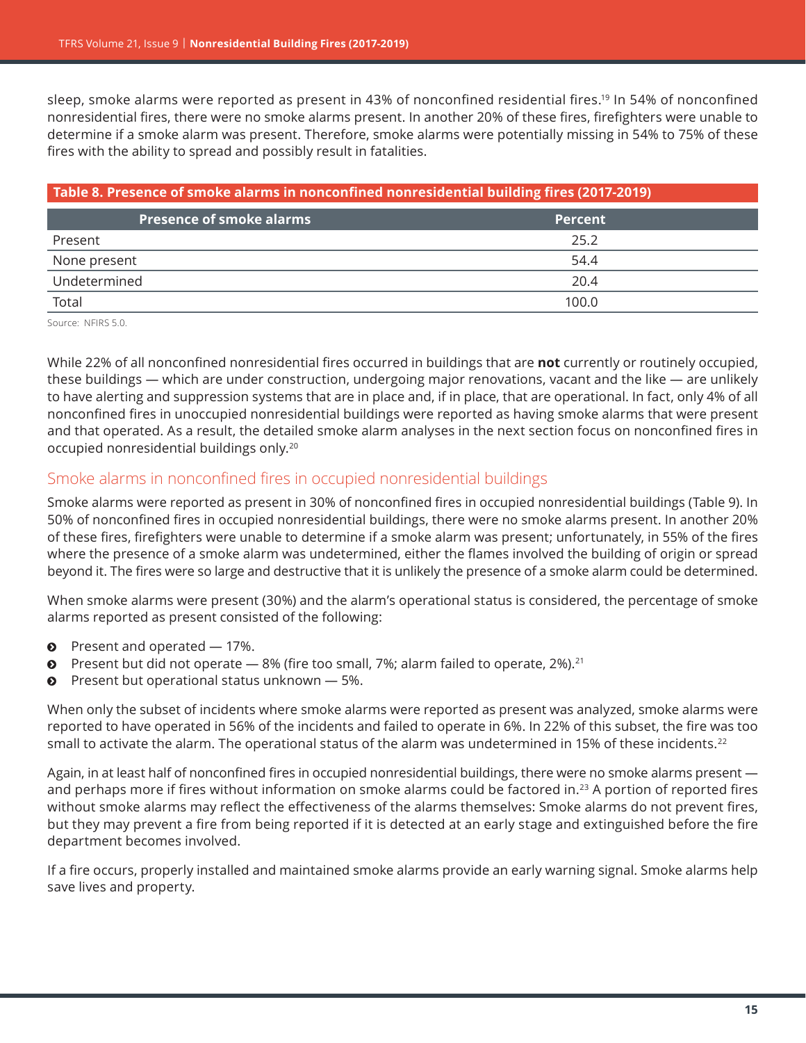sleep, smoke alarms were reported as present in 43% of nonconfined residential fires.<sup>[19](#page-19-0)</sup> In 54% of nonconfined nonresidential fires, there were no smoke alarms present. In another 20% of these fires, firefighters were unable to determine if a smoke alarm was present. Therefore, smoke alarms were potentially missing in 54% to 75% of these fires with the ability to spread and possibly result in fatalities.

| Table 8. Presence of smoke alarms in nonconfined nonresidential building fires (2017-2019) |                |  |
|--------------------------------------------------------------------------------------------|----------------|--|
| <b>Presence of smoke alarms</b>                                                            | <b>Percent</b> |  |
| Present                                                                                    | 25.2           |  |
| None present                                                                               | 54.4           |  |
| Undetermined                                                                               | 20.4           |  |
| Total                                                                                      | 100.0          |  |

Source: NFIRS 5.0.

While 22% of all nonconfined nonresidential fires occurred in buildings that are **not** currently or routinely occupied, these buildings — which are under construction, undergoing major renovations, vacant and the like — are unlikely to have alerting and suppression systems that are in place and, if in place, that are operational. In fact, only 4% of all nonconfined fires in unoccupied nonresidential buildings were reported as having smoke alarms that were present and that operated. As a result, the detailed smoke alarm analyses in the next section focus on nonconfined fires in occupied nonresidential buildings only.<sup>[20](#page-19-0)</sup>

#### Smoke alarms in nonconfined fires in occupied nonresidential buildings

Smoke alarms were reported as present in 30% of nonconfined fires in occupied nonresidential buildings (Table 9). In 50% of nonconfined fires in occupied nonresidential buildings, there were no smoke alarms present. In another 20% of these fires, firefighters were unable to determine if a smoke alarm was present; unfortunately, in 55% of the fires where the presence of a smoke alarm was undetermined, either the flames involved the building of origin or spread beyond it. The fires were so large and destructive that it is unlikely the presence of a smoke alarm could be determined.

When smoke alarms were present (30%) and the alarm's operational status is considered, the percentage of smoke alarms reported as present consisted of the following:

- $\bullet$  Present and operated  $-17\%$ .
- $\odot$  Present but did not operate 8% (fire too small, 7%; alarm failed to operate, 2%).<sup>[21](#page-19-0)</sup>
- $\odot$  Present but operational status unknown  $-5\%$ .

When only the subset of incidents where smoke alarms were reported as present was analyzed, smoke alarms were reported to have operated in 56% of the incidents and failed to operate in 6%. In 22% of this subset, the fire was too small to activate the alarm. The operational status of the alarm was undetermined in 15% of these incidents.<sup>22</sup>

Again, in at least half of nonconfined fires in occupied nonresidential buildings, there were no smoke alarms present and perhaps more if fires without information on smoke alarms could be factored in.[23](#page-20-0) A portion of reported fires without smoke alarms may reflect the effectiveness of the alarms themselves: Smoke alarms do not prevent fires, but they may prevent a fire from being reported if it is detected at an early stage and extinguished before the fire department becomes involved.

If a fire occurs, properly installed and maintained smoke alarms provide an early warning signal. Smoke alarms help save lives and property.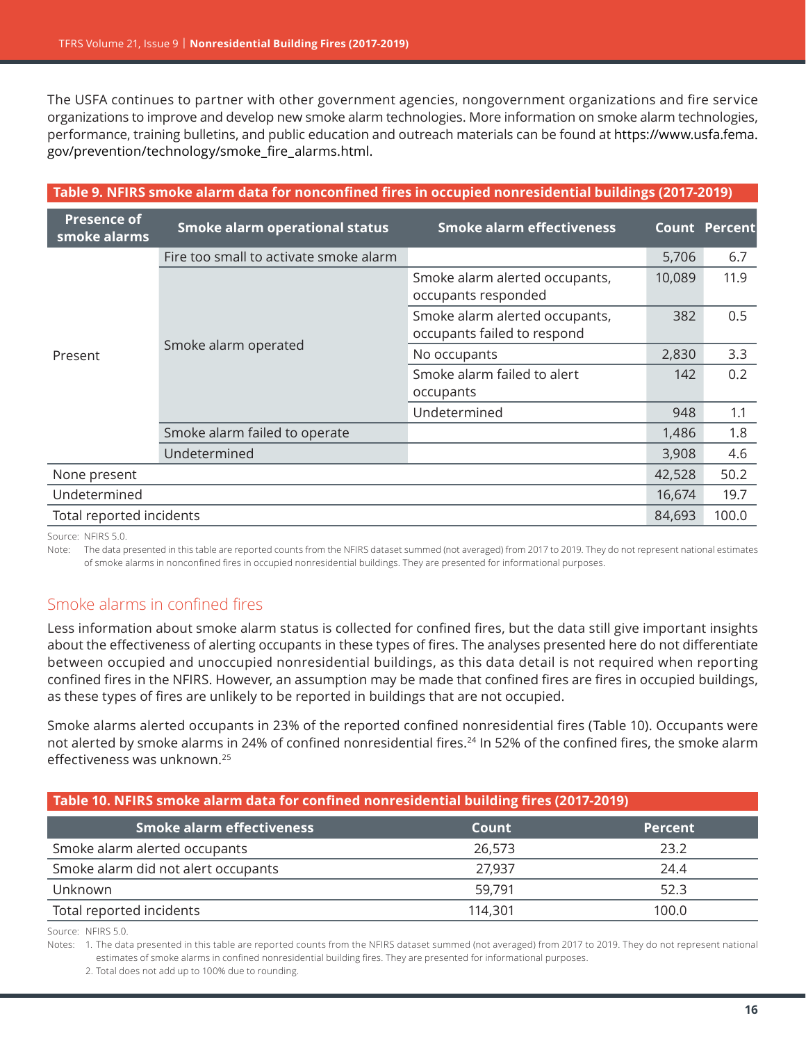The USFA continues to partner with other government agencies, nongovernment organizations and fire service organizations to improve and develop new smoke alarm technologies. More information on smoke alarm technologies, performance, training bulletins, and public education and outreach materials can be found at [https://www.usfa.fema.](https://www.usfa.fema.gov/prevention/technology/smoke_fire_alarms.html) [gov/prevention/technology/smoke\\_fire\\_alarms.html](https://www.usfa.fema.gov/prevention/technology/smoke_fire_alarms.html).

| Table 9. NFIRS smoke alarm data for nonconfined fires in occupied nonresidential buildings (2017-2019) |                                             |                                                               |        |                      |
|--------------------------------------------------------------------------------------------------------|---------------------------------------------|---------------------------------------------------------------|--------|----------------------|
| <b>Presence of</b><br>smoke alarms                                                                     | <b>Smoke alarm operational status</b>       | <b>Smoke alarm effectiveness</b>                              |        | <b>Count Percent</b> |
|                                                                                                        | Fire too small to activate smoke alarm      |                                                               | 5,706  | 6.7                  |
| Present                                                                                                | Smoke alarm operated                        | Smoke alarm alerted occupants,<br>occupants responded         | 10,089 | 11.9                 |
|                                                                                                        |                                             | Smoke alarm alerted occupants,<br>occupants failed to respond | 382    | 0.5                  |
|                                                                                                        |                                             | No occupants                                                  | 2,830  | 3.3                  |
|                                                                                                        |                                             | Smoke alarm failed to alert<br>occupants                      | 142    | 0.2                  |
|                                                                                                        |                                             | Undetermined                                                  | 948    | 1.1                  |
|                                                                                                        | Smoke alarm failed to operate               |                                                               | 1,486  | 1.8                  |
|                                                                                                        | Undetermined                                |                                                               | 3,908  | 4.6                  |
| None present                                                                                           |                                             |                                                               | 42,528 | 50.2                 |
| Undetermined                                                                                           |                                             |                                                               | 16,674 | 19.7                 |
|                                                                                                        | Total reported incidents<br>100.0<br>84,693 |                                                               |        |                      |

Source: NFIRS 5.0.

Note: The data presented in this table are reported counts from the NFIRS dataset summed (not averaged) from 2017 to 2019. They do not represent national estimates of smoke alarms in nonconfined fires in occupied nonresidential buildings. They are presented for informational purposes.

#### Smoke alarms in confined fires

Less information about smoke alarm status is collected for confined fires, but the data still give important insights about the effectiveness of alerting occupants in these types of fires. The analyses presented here do not differentiate between occupied and unoccupied nonresidential buildings, as this data detail is not required when reporting confined fires in the NFIRS. However, an assumption may be made that confined fires are fires in occupied buildings, as these types of fires are unlikely to be reported in buildings that are not occupied.

Smoke alarms alerted occupants in 23% of the reported confined nonresidential fires (Table 10). Occupants were not alerted by smoke alarms in [24](#page-20-0)% of confined nonresidential fires.<sup>24</sup> In 52% of the confined fires, the smoke alarm effectiveness was unknown.[25](#page-20-0)

#### **Table 10. NFIRS smoke alarm data for confined nonresidential building fires (2017-2019)**

| <b>Smoke alarm effectiveness</b>    | Count   | <b>Percent</b> |
|-------------------------------------|---------|----------------|
| Smoke alarm alerted occupants       | 26,573  | 23.2           |
| Smoke alarm did not alert occupants | 27.937  | 24.4           |
| Unknown                             | 59.791  | 52.3           |
| Total reported incidents            | 114.301 | 100.0          |

Source: NFIRS 5.0.

Notes: 1. The data presented in this table are reported counts from the NFIRS dataset summed (not averaged) from 2017 to 2019. They do not represent national estimates of smoke alarms in confined nonresidential building fires. They are presented for informational purposes.

2. Total does not add up to 100% due to rounding.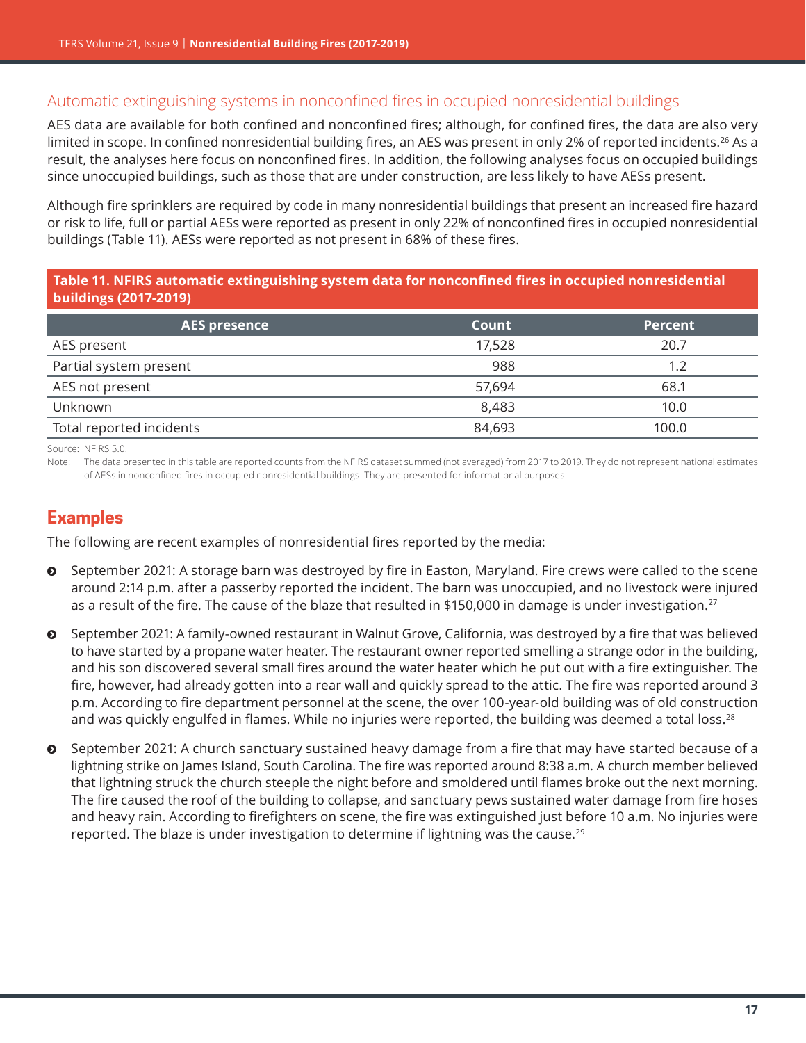## Automatic extinguishing systems in nonconfined fires in occupied nonresidential buildings

AES data are available for both confined and nonconfined fires; although, for confined fires, the data are also very limited in scope. In confined nonresidential building fires, an AES was present in only 2% of reported incidents.<sup>[26](#page-20-0)</sup> As a result, the analyses here focus on nonconfined fires. In addition, the following analyses focus on occupied buildings since unoccupied buildings, such as those that are under construction, are less likely to have AESs present.

Although fire sprinklers are required by code in many nonresidential buildings that present an increased fire hazard or risk to life, full or partial AESs were reported as present in only 22% of nonconfined fires in occupied nonresidential buildings (Table 11). AESs were reported as not present in 68% of these fires.

#### **Table 11. NFIRS automatic extinguishing system data for nonconfined fires in occupied nonresidential buildings (2017-2019)**

| <b>AES presence</b>      | Count  | <b>Percent</b> |
|--------------------------|--------|----------------|
| AES present              | 17,528 | 20.7           |
| Partial system present   | 988    | 1.2            |
| AES not present          | 57.694 | 68.1           |
| Unknown                  | 8,483  | 10.0           |
| Total reported incidents | 84,693 | 100.0          |

Source: NFIRS 5.0.

Note: The data presented in this table are reported counts from the NFIRS dataset summed (not averaged) from 2017 to 2019. They do not represent national estimates of AESs in nonconfined fires in occupied nonresidential buildings. They are presented for informational purposes.

## **Examples**

The following are recent examples of nonresidential fires reported by the media:

- $\odot$  September 2021: A storage barn was destroyed by fire in Easton, Maryland. Fire crews were called to the scene around 2:14 p.m. after a passerby reported the incident. The barn was unoccupied, and no livestock were injured as a result of the fire. The cause of the blaze that resulted in \$150,000 in damage is under investigation.<sup>[27](#page-20-0)</sup>
- $\odot$  September 2021: A family-owned restaurant in Walnut Grove, California, was destroyed by a fire that was believed to have started by a propane water heater. The restaurant owner reported smelling a strange odor in the building, and his son discovered several small fires around the water heater which he put out with a fire extinguisher. The fire, however, had already gotten into a rear wall and quickly spread to the attic. The fire was reported around 3 p.m. According to fire department personnel at the scene, the over 100-year-old building was of old construction and was quickly engulfed in flames. While no injuries were reported, the building was deemed a total loss.<sup>[28](#page-20-0)</sup>
- $\odot$  September 2021: A church sanctuary sustained heavy damage from a fire that may have started because of a lightning strike on James Island, South Carolina. The fire was reported around 8:38 a.m. A church member believed that lightning struck the church steeple the night before and smoldered until flames broke out the next morning. The fire caused the roof of the building to collapse, and sanctuary pews sustained water damage from fire hoses and heavy rain. According to firefighters on scene, the fire was extinguished just before 10 a.m. No injuries were reported. The blaze is under investigation to determine if lightning was the cause.<sup>[29](#page-20-0)</sup>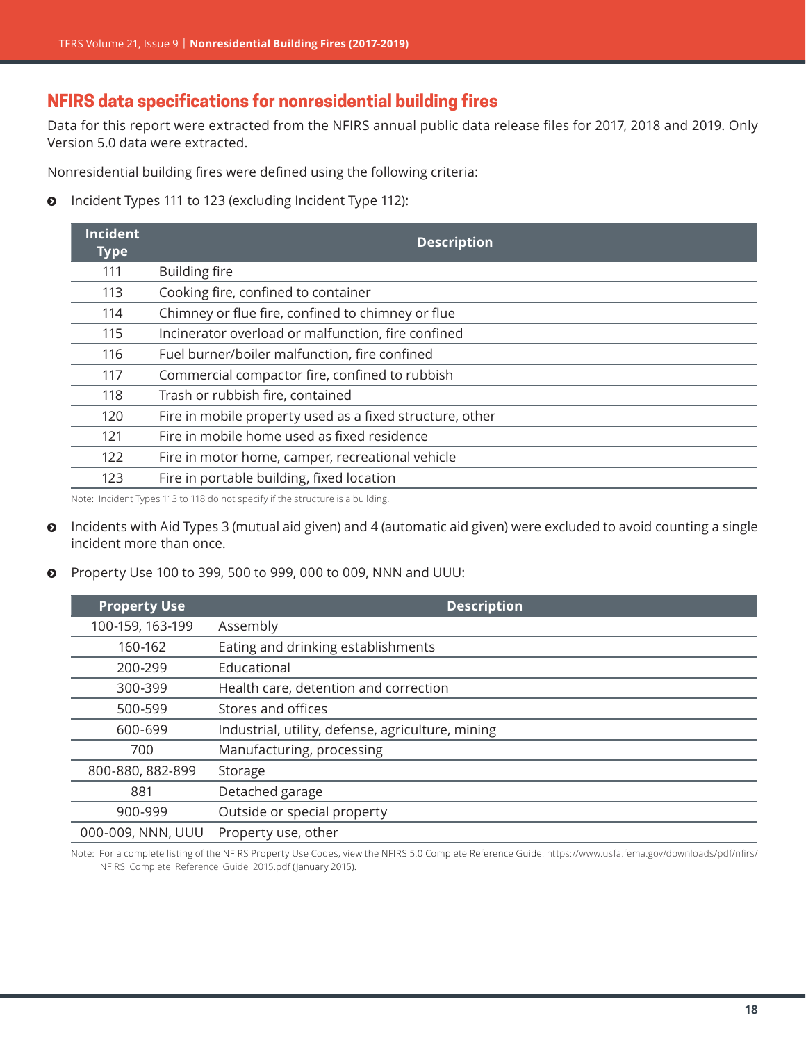# **NFIRS data specifications for nonresidential building fires**

Data for this report were extracted from the NFIRS annual public data release files for 2017, 2018 and 2019. Only Version 5.0 data were extracted.

Nonresidential building fires were defined using the following criteria:

**O** Incident Types 111 to 123 (excluding Incident Type 112):

| <b>Incident</b><br><b>Type</b> | <b>Description</b>                                       |
|--------------------------------|----------------------------------------------------------|
| 111                            | <b>Building fire</b>                                     |
| 113                            | Cooking fire, confined to container                      |
| 114                            | Chimney or flue fire, confined to chimney or flue        |
| 115                            | Incinerator overload or malfunction, fire confined       |
| 116                            | Fuel burner/boiler malfunction, fire confined            |
| 117                            | Commercial compactor fire, confined to rubbish           |
| 118                            | Trash or rubbish fire, contained                         |
| 120                            | Fire in mobile property used as a fixed structure, other |
| 121                            | Fire in mobile home used as fixed residence              |
| 122                            | Fire in motor home, camper, recreational vehicle         |
| 123                            | Fire in portable building, fixed location                |

Note: Incident Types 113 to 118 do not specify if the structure is a building.

- **O** Incidents with Aid Types 3 (mutual aid given) and 4 (automatic aid given) were excluded to avoid counting a single incident more than once.
- **•** Property Use 100 to 399, 500 to 999, 000 to 009, NNN and UUU:

| <b>Property Use</b> | <b>Description</b>                                |
|---------------------|---------------------------------------------------|
| 100-159, 163-199    | Assembly                                          |
| 160-162             | Eating and drinking establishments                |
| 200-299             | Educational                                       |
| 300-399             | Health care, detention and correction             |
| 500-599             | Stores and offices                                |
| 600-699             | Industrial, utility, defense, agriculture, mining |
| 700                 | Manufacturing, processing                         |
| 800-880, 882-899    | Storage                                           |
| 881                 | Detached garage                                   |
| 900-999             | Outside or special property                       |
| 000-009, NNN, UUU   | Property use, other                               |

Note: For a complete listing of the NFIRS Property Use Codes, view the NFIRS 5.0 Complete Reference Guide: [https://www.usfa.fema.gov/downloads/pdf/nfirs/](https://www.usfa.fema.gov/downloads/pdf/nfirs/NFIRS_Complete_Reference_Guide_2015.pdf) [NFIRS\\_Complete\\_Reference\\_Guide\\_2015.pdf](https://www.usfa.fema.gov/downloads/pdf/nfirs/NFIRS_Complete_Reference_Guide_2015.pdf) (January 2015).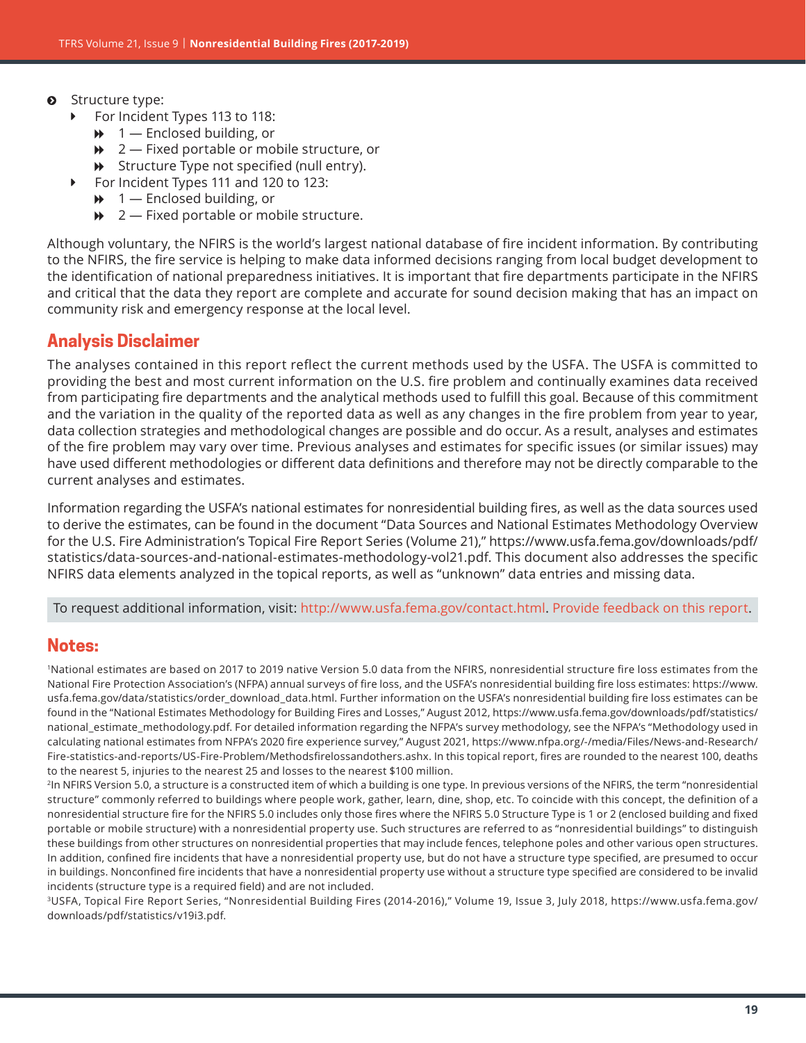- <span id="page-18-0"></span> $\odot$  Structure type:
	- For Incident Types 113 to 118:
		- $\rightarrow$  1 Enclosed building, or
		- $\rightarrow$  2 Fixed portable or mobile structure, or
		- $\rightarrow$  Structure Type not specified (null entry).
	- ▶ For Incident Types 111 and 120 to 123:
		- $\rightarrow$  1 Enclosed building, or
		- $\rightarrow$  2 Fixed portable or mobile structure.

Although voluntary, the NFIRS is the world's largest national database of fire incident information. By contributing to the NFIRS, the fire service is helping to make data informed decisions ranging from local budget development to the identification of national preparedness initiatives. It is important that fire departments participate in the NFIRS and critical that the data they report are complete and accurate for sound decision making that has an impact on community risk and emergency response at the local level.

## **Analysis Disclaimer**

The analyses contained in this report reflect the current methods used by the USFA. The USFA is committed to providing the best and most current information on the U.S. fire problem and continually examines data received from participating fire departments and the analytical methods used to fulfill this goal. Because of this commitment and the variation in the quality of the reported data as well as any changes in the fire problem from year to year, data collection strategies and methodological changes are possible and do occur. As a result, analyses and estimates of the fire problem may vary over time. Previous analyses and estimates for specific issues (or similar issues) may have used different methodologies or different data definitions and therefore may not be directly comparable to the current analyses and estimates.

Information regarding the USFA's national estimates for nonresidential building fires, as well as the data sources used to derive the estimates, can be found in the document "Data Sources and National Estimates Methodology Overview for the U.S. Fire Administration's Topical Fire Report Series (Volume 21)," [https://www.usfa.fema.gov/downloads/pdf/](https://www.usfa.fema.gov/downloads/pdf/statistics/data-sources-and-national-estimates-methodology-vol21.pdf) [statistics/data-sources-and-national-estimates-methodology-vol21.pdf](https://www.usfa.fema.gov/downloads/pdf/statistics/data-sources-and-national-estimates-methodology-vol21.pdf). This document also addresses the specific NFIRS data elements analyzed in the topical reports, as well as "unknown" data entries and missing data.

To request additional information, visit:<http://www.usfa.fema.gov/contact.html>. [Provide feedback on this report.](https://apps.usfa.fema.gov/contact/dataReportEval?reportTitle= Nonresidential%20Building%20Fires%20(2017-2019))

#### **Notes:**

1 National estimates are based on 2017 to 2019 native Version 5.0 data from the NFIRS, nonresidential structure fire loss estimates from the National Fire Protection Association's (NFPA) annual surveys of fire loss, and the USFA's nonresidential building fire loss estimates: [https://www.](https://www.usfa.fema.gov/data/statistics/order_download_data.html) [usfa.fema.gov/data/statistics/order\\_download\\_data.html](https://www.usfa.fema.gov/data/statistics/order_download_data.html). Further information on the USFA's nonresidential building fire loss estimates can be found in the "National Estimates Methodology for Building Fires and Losses," August 2012, [https://www.usfa.fema.gov/downloads/pdf/statistics/](https://www.usfa.fema.gov/downloads/pdf/statistics/national_estimate_methodology.pdf) national estimate methodology.pdf. For detailed information regarding the NFPA's survey methodology, see the NFPA's "Methodology used in calculating national estimates from NFPA's 2020 fire experience survey," August 2021, [https://www.nfpa.org/-/media/Files/News-and-Research/](https://www.nfpa.org/-/media/Files/News-and-Research/Fire-statistics-and-reports/US-Fire-Problem/Methodsfirelossandothers.ashx) [Fire-statistics-and-reports/US-Fire-Problem/Methodsfirelossandothers.ashx.](https://www.nfpa.org/-/media/Files/News-and-Research/Fire-statistics-and-reports/US-Fire-Problem/Methodsfirelossandothers.ashx) In this topical report, fires are rounded to the nearest 100, deaths to the nearest 5, injuries to the nearest 25 and losses to the nearest \$100 million.

<sup>2</sup>In NFIRS Version 5.0, a structure is a constructed item of which a building is one type. In previous versions of the NFIRS, the term "nonresidential structure" commonly referred to buildings where people work, gather, learn, dine, shop, etc. To coincide with this concept, the definition of a nonresidential structure fire for the NFIRS 5.0 includes only those fires where the NFIRS 5.0 Structure Type is 1 or 2 (enclosed building and fixed portable or mobile structure) with a nonresidential property use. Such structures are referred to as "nonresidential buildings" to distinguish these buildings from other structures on nonresidential properties that may include fences, telephone poles and other various open structures. In addition, confined fire incidents that have a nonresidential property use, but do not have a structure type specified, are presumed to occur in buildings. Nonconfined fire incidents that have a nonresidential property use without a structure type specified are considered to be invalid incidents (structure type is a required field) and are not included.

3USFA, Topical Fire Report Series, "Nonresidential Building Fires (2014-2016)," Volume 19, Issue 3, July 2018, [https://www.usfa.fema.gov/](https://www.usfa.fema.gov/downloads/pdf/statistics/v19i3.pdf) [downloads/pdf/statistics/v19i3.pdf](https://www.usfa.fema.gov/downloads/pdf/statistics/v19i3.pdf).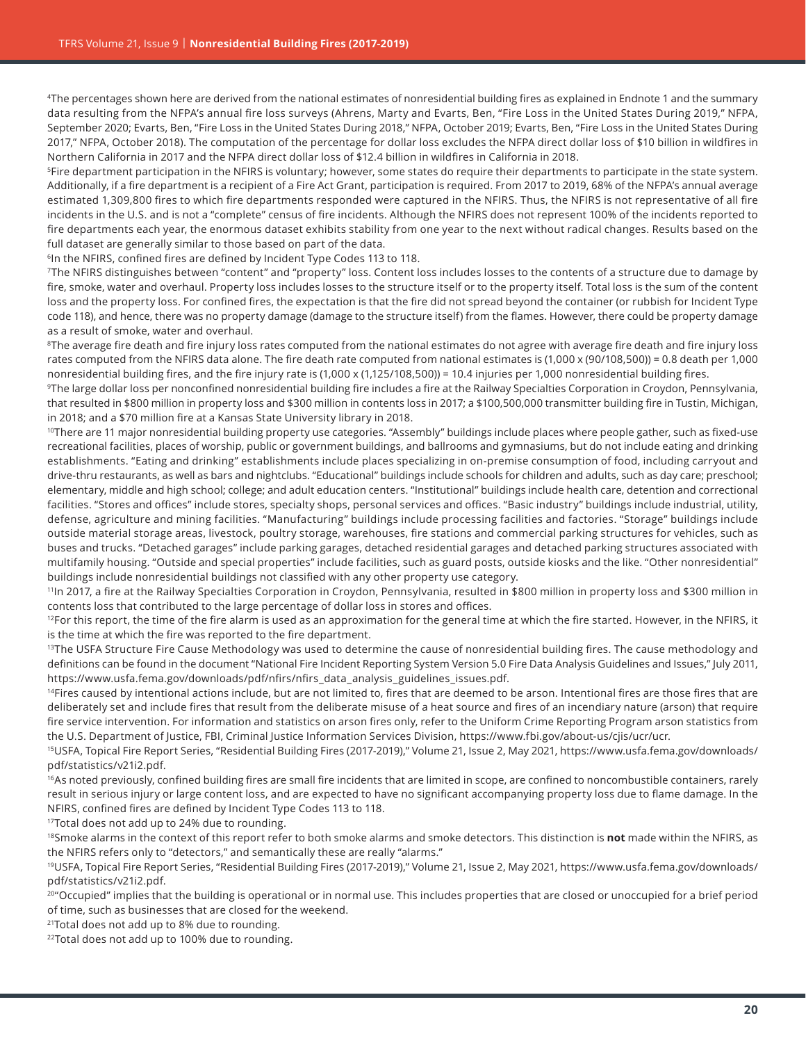<span id="page-19-0"></span><sup>4</sup>The percentages shown here are derived from the national estimates of nonresidential building fires as explained in Endnote 1 and the summary data resulting from the NFPA's annual fire loss surveys (Ahrens, Marty and Evarts, Ben, "Fire Loss in the United States During 2019," NFPA, September 2020; Evarts, Ben, "Fire Loss in the United States During 2018," NFPA, October 2019; Evarts, Ben, "Fire Loss in the United States During 2017," NFPA, October 2018). The computation of the percentage for dollar loss excludes the NFPA direct dollar loss of \$10 billion in wildfires in Northern California in 2017 and the NFPA direct dollar loss of \$12.4 billion in wildfires in California in 2018.

<sup>5</sup>Fire department participation in the NFIRS is voluntary; however, some states do require their departments to participate in the state system. Additionally, if a fire department is a recipient of a Fire Act Grant, participation is required. From 2017 to 2019, 68% of the NFPA's annual average estimated 1,309,800 fires to which fire departments responded were captured in the NFIRS. Thus, the NFIRS is not representative of all fire incidents in the U.S. and is not a "complete" census of fire incidents. Although the NFIRS does not represent 100% of the incidents reported to fire departments each year, the enormous dataset exhibits stability from one year to the next without radical changes. Results based on the full dataset are generally similar to those based on part of the data.

<sup>6</sup>In the NFIRS, confined fires are defined by Incident Type Codes 113 to 118.

[7](#page-1-0)The NFIRS distinguishes between "content" and "property" loss. Content loss includes losses to the contents of a structure due to damage by fire, smoke, water and overhaul. Property loss includes losses to the structure itself or to the property itself. Total loss is the sum of the content loss and the property loss. For confined fires, the expectation is that the fire did not spread beyond the container (or rubbish for Incident Type code 118), and hence, there was no property damage (damage to the structure itself) from the flames. However, there could be property damage as a result of smoke, water and overhaul.

<sup>8</sup>The average fire death and fire injury loss rates computed from the national estimates do not agree with average fire death and fire injury loss rates computed from the NFIRS data alone. The fire death rate computed from national estimates is (1,000 x (90/108,500)) = 0.8 death per 1,000 nonresidential building fires, and the fire injury rate is (1,000 x (1,125/108,500)) = 10.4 injuries per 1,000 nonresidential building fires.

<sup>9</sup>The large dollar loss per nonconfined nonresidential building fire includes a fire at the Railway Specialties Corporation in Croydon, Pennsylvania, that resulted in \$800 million in property loss and \$300 million in contents loss in 2017; a \$100,500,000 transmitter building fire in Tustin, Michigan, in 2018; and a \$70 million fire at a Kansas State University library in 2018.

<sup>10</sup>There are 11 major nonresidential building property use categories. "Assembly" buildings include places where people gather, such as fixed-use recreational facilities, places of worship, public or government buildings, and ballrooms and gymnasiums, but do not include eating and drinking establishments. "Eating and drinking" establishments include places specializing in on-premise consumption of food, including carryout and drive-thru restaurants, as well as bars and nightclubs. "Educational" buildings include schools for children and adults, such as day care; preschool; elementary, middle and high school; college; and adult education centers. "Institutional" buildings include health care, detention and correctional facilities. "Stores and offices" include stores, specialty shops, personal services and offices. "Basic industry" buildings include industrial, utility, defense, agriculture and mining facilities. "Manufacturing" buildings include processing facilities and factories. "Storage" buildings include outside material storage areas, livestock, poultry storage, warehouses, fire stations and commercial parking structures for vehicles, such as buses and trucks. "Detached garages" include parking garages, detached residential garages and detached parking structures associated with multifamily housing. "Outside and special properties" include facilities, such as guard posts, outside kiosks and the like. "Other nonresidential" buildings include nonresidential buildings not classified with any other property use category.

<sup>11</sup>In 2017, a fire at the Railway Specialties Corporation in Croydon, Pennsylvania, resulted in \$800 million in property loss and \$300 million in contents loss that contributed to the large percentage of dollar loss in stores and offices.

<sup>12</sup>For this report, the time of the fire alarm is used as an approximation for the general time at which the fire started. However, in the NFIRS, it is the time at which the fire was reported to the fire department.

<sup>13</sup>The USFA Structure Fire Cause Methodology was used to determine the cause of nonresidential building fires. The cause methodology and definitions can be found in the document "National Fire Incident Reporting System Version 5.0 Fire Data Analysis Guidelines and Issues," July 2011, [https://www.usfa.fema.gov/downloads/pdf/nfirs/nfirs\\_data\\_analysis\\_guidelines\\_issues.pdf](https://www.usfa.fema.gov/downloads/pdf/nfirs/nfirs_data_analysis_guidelines_issues.pdf).

<sup>14</sup>Fires caused by intentional actions include, but are not limited to, fires that are deemed to be arson. Intentional fires are those fires that are deliberately set and include fires that result from the deliberate misuse of a heat source and fires of an incendiary nature (arson) that require fire service intervention. For information and statistics on arson fires only, refer to the Uniform Crime Reporting Program arson statistics from the U.S. Department of Justice, FBI, Criminal Justice Information Services Division,<https://www.fbi.gov/about-us/cjis/ucr/ucr>.

[15](#page-5-0)USFA, Topical Fire Report Series, "Residential Building Fires (2017-2019)," Volume 21, Issue 2, May 2021, [https://www.usfa.fema.gov/downloads/](https://www.usfa.fema.gov/downloads/pdf/statistics/v21i2.pdf) [pdf/statistics/v21i2.pdf](https://www.usfa.fema.gov/downloads/pdf/statistics/v21i2.pdf).

<sup>16</sup>As noted previously, confined building fires are small fire incidents that are limited in scope, are confined to noncombustible containers, rarely result in serious injury or large content loss, and are expected to have no significant accompanying property loss due to flame damage. In the NFIRS, confined fires are defined by Incident Type Codes 113 to 118.

<sup>17</sup>Total does not add up to 24% due to rounding.

18Smoke alarms in the context of this report refer to both smoke alarms and smoke detectors. This distinction is **not** made within the NFIRS, as the NFIRS refers only to "detectors," and semantically these are really "alarms."

<sup>19</sup>USFA, Topical Fire Report Series, "Residential Building Fires (2017-2019)," Volume 21, Issue 2, May 2021, [https://www.usfa.fema.gov/downloads/](https://www.usfa.fema.gov/downloads/pdf/statistics/v21i2.pdf) [pdf/statistics/v21i2.pdf](https://www.usfa.fema.gov/downloads/pdf/statistics/v21i2.pdf).

20" Occupied" implies that the building is operational or in normal use. This includes properties that are closed or unoccupied for a brief period of time, such as businesses that are closed for the weekend.

<sup>21</sup>Total does not add up to 8% due to rounding.

<sup>22</sup>Total does not add up to 100% due to rounding.